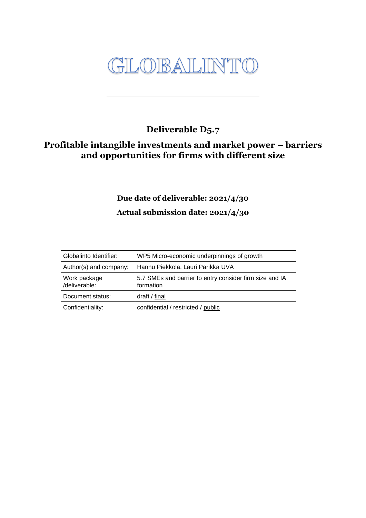GLOBALINTO

## **Deliverable D5.7**

### **Profitable intangible investments and market power – barriers and opportunities for firms with different size**

## **Due date of deliverable: 2021/4/30**

#### **Actual submission date: 2021/4/30**

| Globalinto Identifier:        | WP5 Micro-economic underpinnings of growth                           |
|-------------------------------|----------------------------------------------------------------------|
| Author(s) and company:        | Hannu Piekkola, Lauri Parikka UVA                                    |
| Work package<br>/deliverable: | 5.7 SMEs and barrier to entry consider firm size and IA<br>formation |
| Document status:              | draft / final                                                        |
| Confidentiality:              | confidential / restricted / public                                   |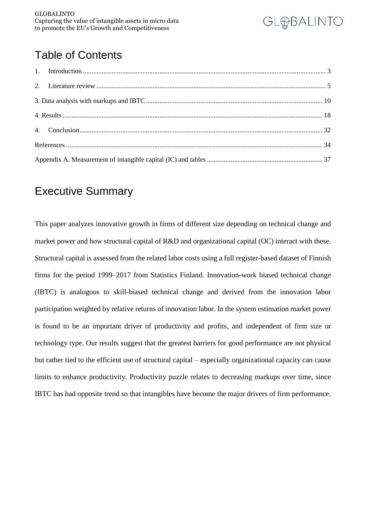

## Table of Contents

## Executive Summary

This paper analyzes innovative growth in firms of different size depending on technical change and market power and how structural capital of R&D and organizational capital (OC) interact with these. Structural capital is assessed from the related labor costs using a full register-based dataset of Finnish firms for the period 1999–2017 from Statistics Finland. Innovation-work biased technical change (IBTC) is analogous to skill-biased technical change and derived from the innovation labor participation weighted by relative returns of innovation labor. In the system estimation market power is found to be an important driver of productivity and profits, and independent of firm size or technology type. Our results suggest that the greatest barriers for good performance are not physical but rather tied to the efficient use of structural capital – especially organizational capacity can cause limits to enhance productivity. Productivity puzzle relates to decreasing markups over time, since IBTC has had opposite trend so that intangibles have become the major drivers of firm performance.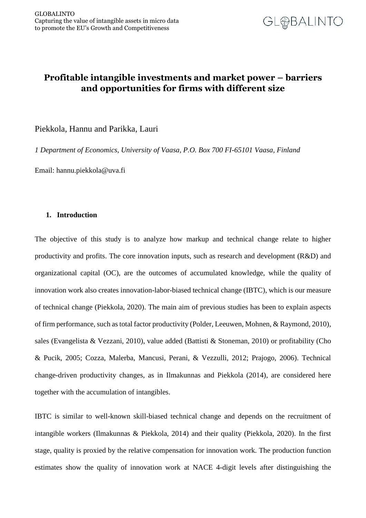

#### **Profitable intangible investments and market power – barriers and opportunities for firms with different size**

Piekkola, Hannu and Parikka, Lauri

*1 Department of Economics, University of Vaasa, P.O. Box 700 FI-65101 Vaasa, Finland*

Email: hannu.piekkola@uva.fi

#### <span id="page-2-0"></span>**1. Introduction**

The objective of this study is to analyze how markup and technical change relate to higher productivity and profits. The core innovation inputs, such as research and development (R&D) and organizational capital (OC), are the outcomes of accumulated knowledge, while the quality of innovation work also creates innovation-labor-biased technical change (IBTC), which is our measure of technical change (Piekkola, 2020). The main aim of previous studies has been to explain aspects of firm performance, such as total factor productivity (Polder, Leeuwen, Mohnen, & Raymond, 2010), sales (Evangelista & Vezzani, 2010), value added (Battisti & Stoneman, 2010) or profitability (Cho & Pucik, 2005; Cozza, Malerba, Mancusi, Perani, & Vezzulli, 2012; Prajogo, 2006). Technical change-driven productivity changes, as in Ilmakunnas and Piekkola (2014), are considered here together with the accumulation of intangibles.

IBTC is similar to well-known skill-biased technical change and depends on the recruitment of intangible workers (Ilmakunnas & Piekkola, 2014) and their quality (Piekkola, 2020). In the first stage, quality is proxied by the relative compensation for innovation work. The production function estimates show the quality of innovation work at NACE 4-digit levels after distinguishing the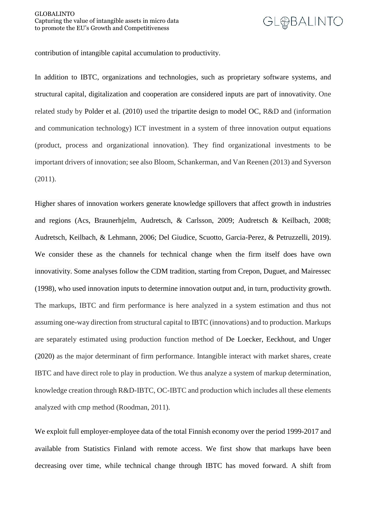contribution of intangible capital accumulation to productivity.

In addition to IBTC, organizations and technologies, such as proprietary software systems, and structural capital, digitalization and cooperation are considered inputs are part of innovativity. One related study by Polder et al. (2010) used the tripartite design to model OC, R&D and (information and communication technology) ICT investment in a system of three innovation output equations (product, process and organizational innovation). They find organizational investments to be important drivers of innovation; see also Bloom, Schankerman, and Van Reenen (2013) and Syverson (2011).

Higher shares of innovation workers generate knowledge spillovers that affect growth in industries and regions (Acs, Braunerhjelm, Audretsch, & Carlsson, 2009; Audretsch & Keilbach, 2008; Audretsch, Keilbach, & Lehmann, 2006; Del Giudice, Scuotto, Garcia-Perez, & Petruzzelli, 2019). We consider these as the channels for technical change when the firm itself does have own innovativity. Some analyses follow the CDM tradition, starting from Crepon, Duguet, and Mairessec (1998), who used innovation inputs to determine innovation output and, in turn, productivity growth. The markups, IBTC and firm performance is here analyzed in a system estimation and thus not assuming one-way direction from structural capital to IBTC (innovations) and to production. Markups are separately estimated using production function method of De Loecker, Eeckhout, and Unger (2020) as the major determinant of firm performance. Intangible interact with market shares, create IBTC and have direct role to play in production. We thus analyze a system of markup determination, knowledge creation through R&D-IBTC, OC-IBTC and production which includes all these elements analyzed with cmp method (Roodman, 2011).

We exploit full employer-employee data of the total Finnish economy over the period 1999-2017 and available from Statistics Finland with remote access. We first show that markups have been decreasing over time, while technical change through IBTC has moved forward. A shift from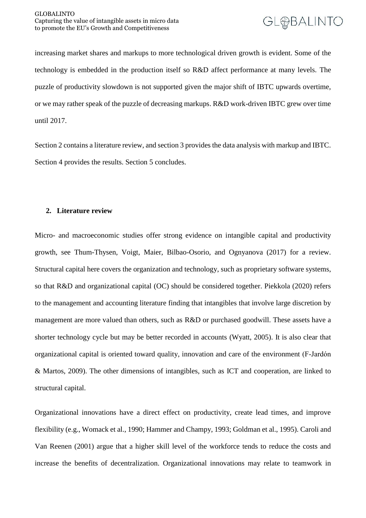increasing market shares and markups to more technological driven growth is evident. Some of the technology is embedded in the production itself so R&D affect performance at many levels. The puzzle of productivity slowdown is not supported given the major shift of IBTC upwards overtime, or we may rather speak of the puzzle of decreasing markups. R&D work-driven IBTC grew over time until 2017.

Section 2 contains a literature review, and section 3 provides the data analysis with markup and IBTC. Section 4 provides the results. Section 5 concludes.

#### <span id="page-4-0"></span>**2. Literature review**

Micro- and macroeconomic studies offer strong evidence on intangible capital and productivity growth, see Thum-Thysen, Voigt, Maier, Bilbao-Osorio, and Ognyanova (2017) for a review. Structural capital here covers the organization and technology, such as proprietary software systems, so that R&D and organizational capital (OC) should be considered together. Piekkola (2020) refers to the management and accounting literature finding that intangibles that involve large discretion by management are more valued than others, such as R&D or purchased goodwill. These assets have a shorter technology cycle but may be better recorded in accounts (Wyatt, 2005). It is also clear that organizational capital is oriented toward quality, innovation and care of the environment (F‐Jardón & Martos, 2009). The other dimensions of intangibles, such as ICT and cooperation, are linked to structural capital.

Organizational innovations have a direct effect on productivity, create lead times, and improve flexibility (e.g., Womack et al., 1990; Hammer and Champy, 1993; Goldman et al., 1995). Caroli and Van Reenen (2001) argue that a higher skill level of the workforce tends to reduce the costs and increase the benefits of decentralization. Organizational innovations may relate to teamwork in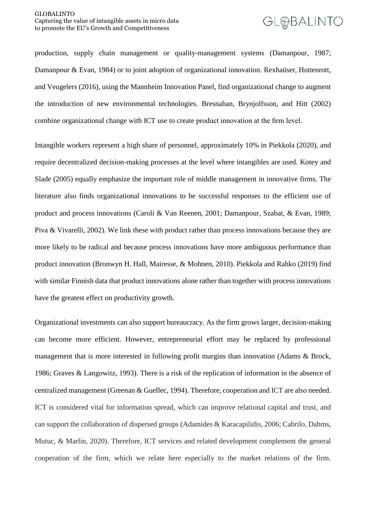production, supply chain management or quality-management systems (Damanpour, 1987; Damanpour & Evan, 1984) or to joint adoption of organizational innovation. Rexhaüser, Hottenrott, and Veugelers (2016), using the Mannheim Innovation Panel, find organizational change to augment the introduction of new environmental technologies. Bresnahan, Brynjolfsson, and Hitt (2002) combine organizational change with ICT use to create product innovation at the firm level.

Intangible workers represent a high share of personnel, approximately 10% in Piekkola (2020), and require decentralized decision-making processes at the level where intangibles are used. Kotey and Slade (2005) equally emphasize the important role of middle management in innovative firms. The literature also finds organizational innovations to be successful responses to the efficient use of product and process innovations (Caroli & Van Reenen, 2001; Damanpour, Szabat, & Evan, 1989; Piva & Vivarelli, 2002). We link these with product rather than process innovations because they are more likely to be radical and because process innovations have more ambiguous performance than product innovation (Bronwyn H. Hall, Mairesse, & Mohnen, 2010). Piekkola and Rahko (2019) find with similar Finnish data that product innovations alone rather than together with process innovations have the greatest effect on productivity growth.

Organizational investments can also support bureaucracy. As the firm grows larger, decision-making can become more efficient. However, entrepreneurial effort may be replaced by professional management that is more interested in following profit margins than innovation (Adams & Brock, 1986; Graves & Langowitz, 1993). There is a risk of the replication of information in the absence of centralized management (Greenan & Guellec, 1994). Therefore, cooperation and ICT are also needed. ICT is considered vital for information spread, which can improve relational capital and trust, and can support the collaboration of dispersed groups (Adamides & Karacapilidis, 2006; Cabrilo, Dahms, Mutuc, & Marlin, 2020). Therefore, ICT services and related development complement the general cooperation of the firm, which we relate here especially to the market relations of the firm.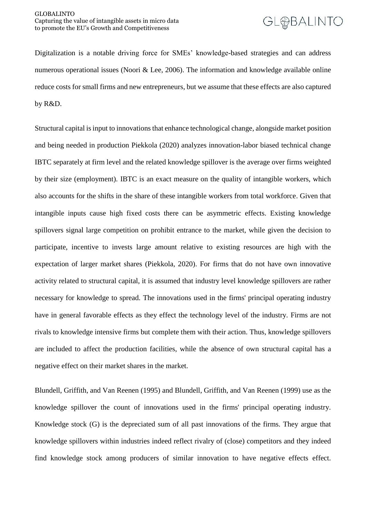Digitalization is a notable driving force for SMEs' knowledge-based strategies and can address numerous operational issues (Noori & Lee, 2006). The information and knowledge available online reduce costs for small firms and new entrepreneurs, but we assume that these effects are also captured by R&D.

Structural capital is input to innovations that enhance technological change, alongside market position and being needed in production Piekkola (2020) analyzes innovation-labor biased technical change IBTC separately at firm level and the related knowledge spillover is the average over firms weighted by their size (employment). IBTC is an exact measure on the quality of intangible workers, which also accounts for the shifts in the share of these intangible workers from total workforce. Given that intangible inputs cause high fixed costs there can be asymmetric effects. Existing knowledge spillovers signal large competition on prohibit entrance to the market, while given the decision to participate, incentive to invests large amount relative to existing resources are high with the expectation of larger market shares (Piekkola, 2020). For firms that do not have own innovative activity related to structural capital, it is assumed that industry level knowledge spillovers are rather necessary for knowledge to spread. The innovations used in the firms' principal operating industry have in general favorable effects as they effect the technology level of the industry. Firms are not rivals to knowledge intensive firms but complete them with their action. Thus, knowledge spillovers are included to affect the production facilities, while the absence of own structural capital has a negative effect on their market shares in the market.

Blundell, Griffith, and Van Reenen (1995) and Blundell, Griffith, and Van Reenen (1999) use as the knowledge spillover the count of innovations used in the firms' principal operating industry. Knowledge stock (G) is the depreciated sum of all past innovations of the firms. They argue that knowledge spillovers within industries indeed reflect rivalry of (close) competitors and they indeed find knowledge stock among producers of similar innovation to have negative effects effect.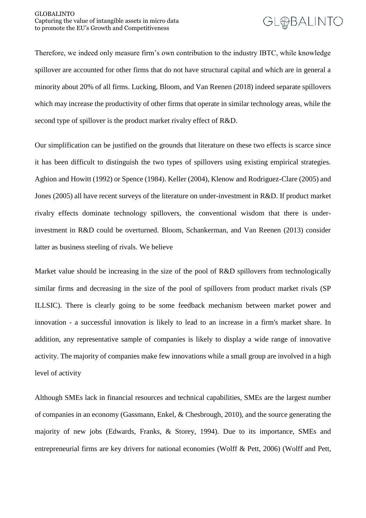Therefore, we indeed only measure firm's own contribution to the industry IBTC, while knowledge spillover are accounted for other firms that do not have structural capital and which are in general a minority about 20% of all firms. Lucking, Bloom, and Van Reenen (2018) indeed separate spillovers which may increase the productivity of other firms that operate in similar technology areas, while the second type of spillover is the product market rivalry effect of R&D.

Our simplification can be justified on the grounds that literature on these two effects is scarce since it has been difficult to distinguish the two types of spillovers using existing empirical strategies. Aghion and Howitt (1992) or Spence (1984). Keller (2004), Klenow and Rodriguez-Clare (2005) and Jones (2005) all have recent surveys of the literature on under-investment in R&D. If product market rivalry effects dominate technology spillovers, the conventional wisdom that there is underinvestment in R&D could be overturned. Bloom, Schankerman, and Van Reenen (2013) consider latter as business steeling of rivals. We believe

Market value should be increasing in the size of the pool of R&D spillovers from technologically similar firms and decreasing in the size of the pool of spillovers from product market rivals (SP ILLSIC). There is clearly going to be some feedback mechanism between market power and innovation - a successful innovation is likely to lead to an increase in a firm's market share. In addition, any representative sample of companies is likely to display a wide range of innovative activity. The majority of companies make few innovations while a small group are involved in a high level of activity

Although SMEs lack in financial resources and technical capabilities, SMEs are the largest number of companies in an economy (Gassmann, Enkel, & Chesbrough, 2010), and the source generating the majority of new jobs (Edwards, Franks, & Storey, 1994). Due to its importance, SMEs and entrepreneurial firms are key drivers for national economies (Wolff & Pett, 2006) (Wolff and Pett,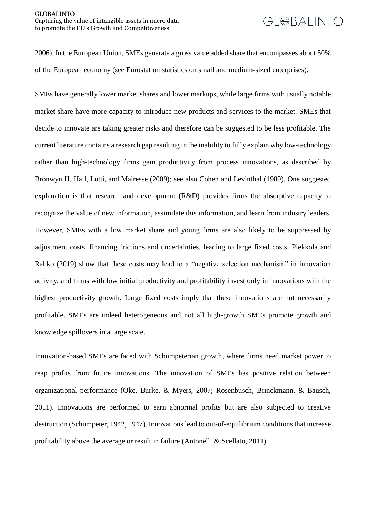2006). In the European Union, SMEs generate a gross value added share that encompasses about 50% of the European economy (see Eurostat on statistics on small and medium-sized enterprises).

SMEs have generally lower market shares and lower markups, while large firms with usually notable market share have more capacity to introduce new products and services to the market. SMEs that decide to innovate are taking greater risks and therefore can be suggested to be less profitable. The current literature contains a research gap resulting in the inability to fully explain why low-technology rather than high-technology firms gain productivity from process innovations, as described by Bronwyn H. Hall, Lotti, and Mairesse (2009); see also Cohen and Levinthal (1989). One suggested explanation is that research and development (R&D) provides firms the absorptive capacity to recognize the value of new information, assimilate this information, and learn from industry leaders. However, SMEs with a low market share and young firms are also likely to be suppressed by adjustment costs, financing frictions and uncertainties, leading to large fixed costs. Piekkola and Rahko (2019) show that these costs may lead to a "negative selection mechanism" in innovation activity, and firms with low initial productivity and profitability invest only in innovations with the highest productivity growth. Large fixed costs imply that these innovations are not necessarily profitable. SMEs are indeed heterogeneous and not all high-growth SMEs promote growth and knowledge spillovers in a large scale.

Innovation-based SMEs are faced with Schumpeterian growth, where firms need market power to reap profits from future innovations. The innovation of SMEs has positive relation between organizational performance (Oke, Burke, & Myers, 2007; Rosenbusch, Brinckmann, & Bausch, 2011). Innovations are performed to earn abnormal profits but are also subjected to creative destruction (Schumpeter, 1942, 1947). Innovations lead to out-of-equilibrium conditions that increase profitability above the average or result in failure (Antonelli & Scellato, 2011).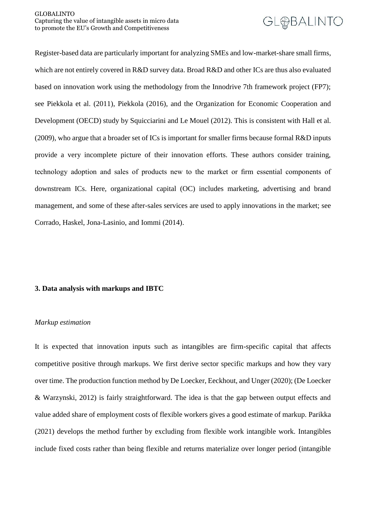Register-based data are particularly important for analyzing SMEs and low-market-share small firms, which are not entirely covered in R&D survey data. Broad R&D and other ICs are thus also evaluated based on innovation work using the methodology from the Innodrive 7th framework project (FP7); see Piekkola et al. (2011), Piekkola (2016), and the Organization for Economic Cooperation and Development (OECD) study by Squicciarini and Le Mouel (2012). This is consistent with Hall et al. (2009), who argue that a broader set of ICs is important for smaller firms because formal R&D inputs provide a very incomplete picture of their innovation efforts. These authors consider training, technology adoption and sales of products new to the market or firm essential components of downstream ICs. Here, organizational capital (OC) includes marketing, advertising and brand management, and some of these after-sales services are used to apply innovations in the market; see Corrado, Haskel, Jona-Lasinio, and Iommi (2014).

#### <span id="page-9-0"></span>**3. Data analysis with markups and IBTC**

#### *Markup estimation*

It is expected that innovation inputs such as intangibles are firm-specific capital that affects competitive positive through markups. We first derive sector specific markups and how they vary over time. The production function method by De Loecker, Eeckhout, and Unger (2020); (De Loecker & Warzynski, 2012) is fairly straightforward. The idea is that the gap between output effects and value added share of employment costs of flexible workers gives a good estimate of markup. Parikka (2021) develops the method further by excluding from flexible work intangible work. Intangibles include fixed costs rather than being flexible and returns materialize over longer period (intangible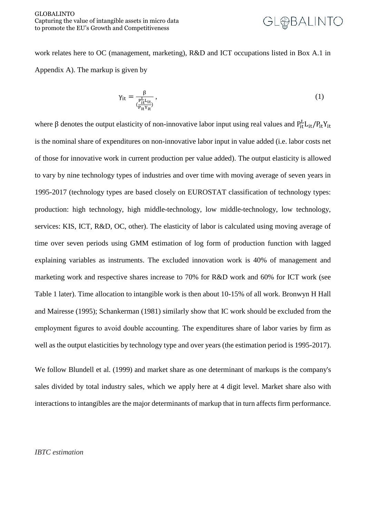work relates here to OC (management, marketing), R&D and ICT occupations listed in Box A.1 in Appendix A). The markup is given by

$$
\gamma_{it} = \frac{\beta}{\left(\frac{P_{it}^L L_{it}}{P_{it} Y_{it}}\right)},\tag{1}
$$

where  $\beta$  denotes the output elasticity of non-innovative labor input using real values and  $P_{it}^L L_{it}/P_{it}Y_{it}$ is the nominal share of expenditures on non-innovative labor input in value added (i.e. labor costs net of those for innovative work in current production per value added). The output elasticity is allowed to vary by nine technology types of industries and over time with moving average of seven years in 1995-2017 (technology types are based closely on EUROSTAT classification of technology types: production: high technology, high middle-technology, low middle-technology, low technology, services: KIS, ICT, R&D, OC, other). The elasticity of labor is calculated using moving average of time over seven periods using GMM estimation of log form of production function with lagged explaining variables as instruments. The excluded innovation work is 40% of management and marketing work and respective shares increase to 70% for R&D work and 60% for ICT work (see Table 1 later). Time allocation to intangible work is then about 10-15% of all work. Bronwyn H Hall and Mairesse (1995); Schankerman (1981) similarly show that IC work should be excluded from the employment figures to avoid double accounting. The expenditures share of labor varies by firm as well as the output elasticities by technology type and over years (the estimation period is 1995-2017).

We follow Blundell et al. (1999) and market share as one determinant of markups is the company's sales divided by total industry sales, which we apply here at 4 digit level. Market share also with interactions to intangibles are the major determinants of markup that in turn affects firm performance.

#### *IBTC estimation*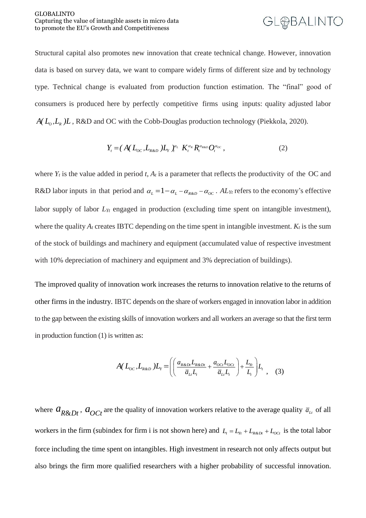Structural capital also promotes new innovation that create technical change. However, innovation data is based on survey data, we want to compare widely firms of different size and by technology type. Technical change is evaluated from production function estimation. The "final" good of consumers is produced here by perfectly competitive firms using inputs: quality adjusted labor  $A(L_0, L_8)L$ , R&D and OC with the Cobb-Douglas production technology (Piekkola, 2020).

$$
Y_{t} = (A(L_{oc}, L_{R\alpha})L_{Y})_{t}^{\alpha_{L}} K_{t}^{\alpha_{R}} R_{t}^{\alpha_{R\alpha_{D}}} O_{t}^{\alpha_{oc}}, \qquad (2)
$$

where  $Y_t$  is the value added in period *t*,  $A_t$  is a parameter that reflects the productivity of the OC and R&D labor inputs in that period and  $\alpha_L = 1 - \alpha_L - \alpha_{R\&D} - \alpha_{OC}$ . AL<sub>*Yt*</sub> refers to the economy's effective labor supply of labor *LYt* engaged in production (excluding time spent on intangible investment), where the quality  $A_t$  creates IBTC depending on the time spent in intangible investment.  $K_t$  is the sum of the stock of buildings and machinery and equipment (accumulated value of respective investment with 10% depreciation of machinery and equipment and 3% depreciation of buildings).

The improved quality of innovation work increases the returns to innovation relative to the returns of other firms in the industry. IBTC depends on the share of workers engaged in innovation labor in addition to the gap between the existing skills of innovation workers and all workers an average so that the first term in production function (1) is written as:

$$
A(L_{oc}, L_{R\&D})L_{\gamma} = \left( \left( \frac{a_{R\&D_{I}}L_{R\&D_{I}}}{\overline{a}_{L}L_{I}} + \frac{a_{oc_{I}}L_{oc_{I}}}{\overline{a}_{L}L_{I}} \right) + \frac{L_{\gamma_{I}}}{L_{I}} \right) L_{\gamma}, \quad (3)
$$

where  $a_{R\&Dt}$ ,  $a_{OCt}$  are the quality of innovation workers relative to the average quality  $\bar{a}_{\mu}$  of all workers in the firm (subindex for firm i is not shown here) and  $L_t = L_{\gamma_t} + L_{R\&D_t} + L_{OCL}$  is the total labor force including the time spent on intangibles. High investment in research not only affects output but also brings the firm more qualified researchers with a higher probability of successful innovation.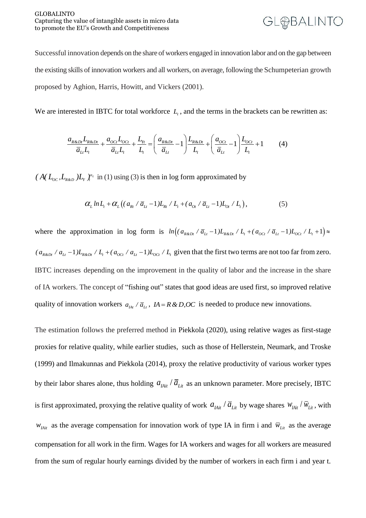Successful innovation depends on the share of workers engaged in innovation labor and on the gap between the existing skills of innovation workers and all workers, on average, following the Schumpeterian growth proposed by Aghion, Harris, Howitt, and Vickers (2001).

We are interested in IBTC for total workforce  $L<sub>t</sub>$ , and the terms in the brackets can be rewritten as:

$$
\frac{a_{R\&Dt}L_{R\&Dt}}{\overline{a}_{Lt}L_t} + \frac{a_{OCt}L_{OCt}}{\overline{a}_{Lt}L_t} + \frac{L_{Yt}}{L_t} = \left(\frac{a_{R\&Dt}}{\overline{a}_{Lt}} - 1\right)\frac{L_{R\&Dt}}{L_t} + \left(\frac{a_{OCt}}{\overline{a}_{Lt}} - 1\right)\frac{L_{OCt}}{L_t} + 1\tag{4}
$$

 $(A(L_{oc}, L_{R\&D})L_{Y}^{\alpha}$  in (1) using (3) is then in log form approximated by

$$
\alpha_L ln L_t + \alpha_L ((a_{Rt} / \overline{a}_{Lt} - 1) L_{Rt} / L_t + (a_{0t} / \overline{a}_{Lt} - 1) L_{0t} / L_t),
$$
\n(5)

where the approximation in log form is  $ln((a_{R\⊂>Di}/\overline{a}_{Lt}-1)L_{R\⊂>Di/L_{t}+(a_{OCI}/\overline{a}_{Lt}-1)L_{OCI}/L_{t}+1)\approx$  $(a_{R\&Dt} / a_{Lt} - 1) L_{R\&Dt} / L_t + (a_{OCT} / a_{Lt} - 1) L_{OCT} / L_t$  given that the first two terms are not too far from zero. IBTC increases depending on the improvement in the quality of labor and the increase in the share of IA workers. The concept of "fishing out" states that good ideas are used first, so improved relative quality of innovation workers  $a_{IAt}$  /  $\overline{a}_{It}$ ,  $I A = R \& D, OC$  is needed to produce new innovations.

The estimation follows the preferred method in Piekkola (2020), using relative wages as first-stage proxies for relative quality, while earlier studies, such as those of Hellerstein, Neumark, and Troske (1999) and Ilmakunnas and Piekkola (2014), proxy the relative productivity of various worker types by their labor shares alone, thus holding  $a_{I\!A\!i\!t}$  /  $\overline{a}_{L\!i\!t}$  as an unknown parameter. More precisely, IBTC is first approximated, proxying the relative quality of work  $a_{I\!A\!i\!t}$  /  $\overline{a}_{L\!i\!t}$  by wage shares  $W_{I\!A\!i\!t}$  /  $\overline{W}_{L\!i\!t}$ , with  $w_{I\!A\!i\!t}$  as the average compensation for innovation work of type IA in firm i and  $\bar{w}_{L\!i\!t}$  as the average compensation for all work in the firm. Wages for IA workers and wages for all workers are measured from the sum of regular hourly earnings divided by the number of workers in each firm i and year t.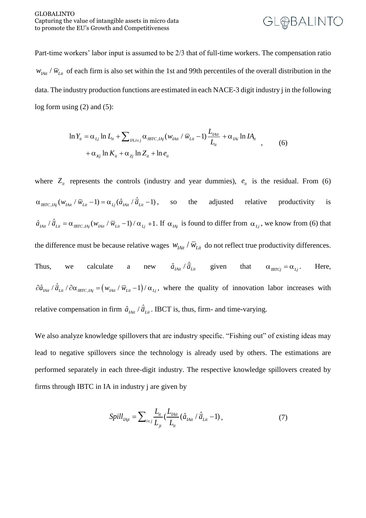Part-time workers' labor input is assumed to be 2/3 that of full-time workers. The compensation ratio  $w_{I\!A\!i\!t}$  /  $\bar{w}_{L\!i\!t}$  of each firm is also set within the 1st and 99th percentiles of the overall distribution in the data. The industry production functions are estimated in each NACE-3 digit industry j in the following log form using (2) and (5):

$$
\ln Y_{it} = \alpha_{Lj} \ln L_{it} + \sum_{IA, i \in j} \alpha_{IBTC, IAj} (w_{IAit} / \overline{w}_{Lit} - 1) \frac{L_{IAit}}{L_{it}} + \alpha_{IAi} \ln IA_{it} + \alpha_{Kj} \ln K_{it} + \alpha_{Zj} \ln Z_{it} + \ln e_{it}
$$
\n(6)

where  $Z_{it}$  represents the controls (industry and year dummies),  $e_{it}$  is the residual. From (6)  $\alpha_{IBTC, IAJ}(w_{IAit} / \overline{w}_{Lit} - 1) = \alpha_{Lj}(\hat{a}_{IAit} / \hat{\overline{a}}_{Lit} - 1)$ , so the adjusted relative productivity is  $\hat{a}_{I \text{Ai}^i} / \hat{a}_{I \text{Ai}^i} = \alpha_{I \text{BTC}, I \text{Ai}^j} (w_{I \text{Ai}^i} / \overline{w}_{I \text{Ai}^i} - 1) / \alpha_{I \text{Ai}^j} + 1$ . If  $\alpha_{I \text{Ai}^j}$  is found to differ from  $\alpha_{I \text{Ai}^j}$ , we know from (6) that the difference must be because relative wages  $w_{I A i t} / \bar{w}_{L i t}$  do not reflect true productivity differences. Thus, we calculate a  $\hat{a}_{I \text{A}i t} / \hat{a}_{L i t}$  given that  $\alpha_{I \text{B}T C_j} = \alpha_{I}$ . Here,  $\partial \hat{a}_{I_{\text{A}}_{it}} / \hat{a}_{I_{\text{L}}_{it}} / \partial \alpha_{I_{\text{B}}_{\text{T}}_{\text{C}}, I_{\text{A}}_{j}} = (w_{I_{\text{A}}_{it}} / \overline{w}_{I_{\text{L}}_{it}} - 1) / \alpha_{I_{\text{L}}_{i}},$  where the quality of innovation labor increases with relative compensation in firm  $\hat{a}_{I\!A\!i\!i}$  /  $\hat{\overline{a}}_{I\!A\!i\!i}$ . IBCT is, thus, firm- and time-varying.

We also analyze knowledge spillovers that are industry specific. "Fishing out" of existing ideas may lead to negative spillovers since the technology is already used by others. The estimations are performed separately in each three-digit industry. The respective knowledge spillovers created by firms through IBTC in IA in industry j are given by

$$
Split_{IAjt} = \sum_{i \in j} \frac{L_{it}}{L_{jt}} \left( \frac{L_{IAit}}{L_{it}} (\hat{a}_{IAit} / \hat{\overline{a}}_{Lit} - 1) \right),
$$
 (7)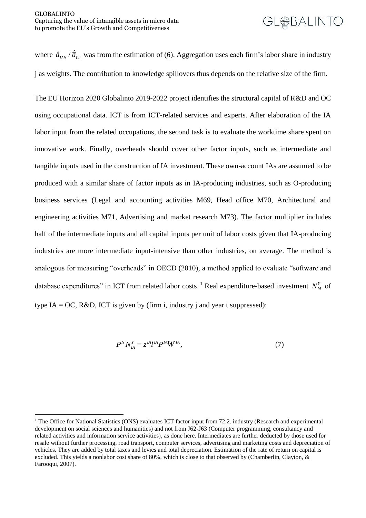<u>.</u>

# **GL@BALINTO**

where  $\hat{a}_{I_{A}i}$  /  $\hat{a}_{L}$  was from the estimation of (6). Aggregation uses each firm's labor share in industry j as weights. The contribution to knowledge spillovers thus depends on the relative size of the firm.

The EU Horizon 2020 Globalinto 2019-2022 project identifies the structural capital of R&D and OC using occupational data. ICT is from ICT-related services and experts. After elaboration of the IA labor input from the related occupations, the second task is to evaluate the worktime share spent on innovative work. Finally, overheads should cover other factor inputs, such as intermediate and tangible inputs used in the construction of IA investment. These own-account IAs are assumed to be produced with a similar share of factor inputs as in IA-producing industries, such as O-producing business services (Legal and accounting activities M69, Head office M70, Architectural and engineering activities M71, Advertising and market research M73). The factor multiplier includes half of the intermediate inputs and all capital inputs per unit of labor costs given that IA-producing industries are more intermediate input-intensive than other industries, on average. The method is analogous for measuring "overheads" in OECD (2010), a method applied to evaluate "software and database expenditures" in ICT from related labor costs.<sup>1</sup> Real expenditure-based investment  $N_A^Y$  of type IA = OC, R&D, ICT is given by (firm i, industry j and year t suppressed):

$$
P^N N_A^Y \equiv z^{IA} l^A P^{IA} W^{IA}, \qquad (7)
$$

<sup>&</sup>lt;sup>1</sup> The Office for National Statistics (ONS) evaluates ICT factor input from 72.2, industry (Research and experimental development on social sciences and humanities) and not from J62-J63 (Computer programming, consultancy and related activities and information service activities), as done here. Intermediates are further deducted by those used for resale without further processing, road transport, computer services, advertising and marketing costs and depreciation of vehicles. They are added by total taxes and levies and total depreciation. Estimation of the rate of return on capital is excluded. This yields a nonlabor cost share of 80%, which is close to that observed by (Chamberlin, Clayton, & Farooqui, 2007).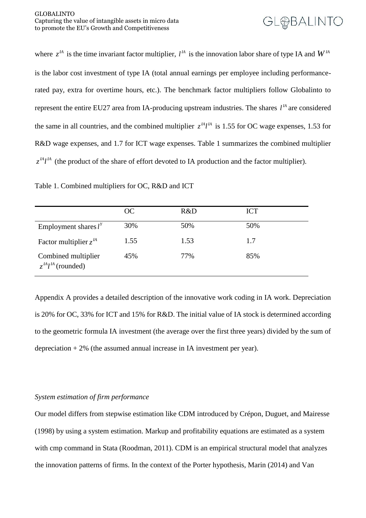where  $z^{\prime A}$  is the time invariant factor multiplier,  $l^{\prime A}$  is the innovation labor share of type IA and  $W^{\prime A}$ is the labor cost investment of type IA (total annual earnings per employee including performancerated pay, extra for overtime hours, etc.). The benchmark factor multipliers follow Globalinto to represent the entire EU27 area from IA-producing upstream industries. The shares  $l^{\text{IA}}$  are considered the same in all countries, and the combined multiplier  $z^{M}l^{A}$  is 1.55 for OC wage expenses, 1.53 for R&D wage expenses, and 1.7 for ICT wage expenses. Table 1 summarizes the combined multiplier  $z^{IA}l^A$  (the product of the share of effort devoted to IA production and the factor multiplier).

Table 1. Combined multipliers for OC, R&D and ICT

|                                                 | OC.  | R&D  | <b>ICT</b> |
|-------------------------------------------------|------|------|------------|
| Employment shares $l^{Y}$                       | 30%  | 50%  | 50%        |
| Factor multiplier $z^{\prime A}$                | 1.55 | 1.53 | 1.7        |
| Combined multiplier<br>$z^{I4}l^{I4}$ (rounded) | 45%  | 77%  | 85%        |

Appendix A provides a detailed description of the innovative work coding in IA work. Depreciation is 20% for OC, 33% for ICT and 15% for R&D. The initial value of IA stock is determined according to the geometric formula IA investment (the average over the first three years) divided by the sum of depreciation  $+ 2\%$  (the assumed annual increase in IA investment per year).

#### *System estimation of firm performance*

Our model differs from stepwise estimation like CDM introduced by Crépon, Duguet, and Mairesse (1998) by using a system estimation. Markup and profitability equations are estimated as a system with cmp command in Stata (Roodman, 2011). CDM is an empirical structural model that analyzes the innovation patterns of firms. In the context of the Porter hypothesis, Marin (2014) and Van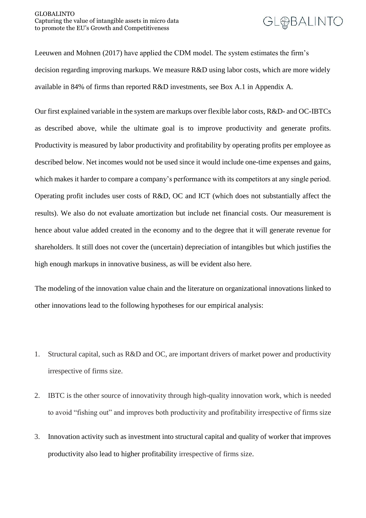Leeuwen and Mohnen (2017) have applied the CDM model. The system estimates the firm's decision regarding improving markups. We measure R&D using labor costs, which are more widely available in 84% of firms than reported R&D investments, see Box A.1 in Appendix A.

Our first explained variable in the system are markups over flexible labor costs, R&D- and OC-IBTCs as described above, while the ultimate goal is to improve productivity and generate profits. Productivity is measured by labor productivity and profitability by operating profits per employee as described below. Net incomes would not be used since it would include one-time expenses and gains, which makes it harder to compare a company's performance with its competitors at any single period. Operating profit includes user costs of R&D, OC and ICT (which does not substantially affect the results). We also do not evaluate amortization but include net financial costs. Our measurement is hence about value added created in the economy and to the degree that it will generate revenue for shareholders. It still does not cover the (uncertain) depreciation of intangibles but which justifies the high enough markups in innovative business, as will be evident also here.

The modeling of the innovation value chain and the literature on organizational innovations linked to other innovations lead to the following hypotheses for our empirical analysis:

- 1. Structural capital, such as R&D and OC, are important drivers of market power and productivity irrespective of firms size.
- 2. IBTC is the other source of innovativity through high-quality innovation work, which is needed to avoid "fishing out" and improves both productivity and profitability irrespective of firms size
- 3. Innovation activity such as investment into structural capital and quality of worker that improves productivity also lead to higher profitability irrespective of firms size.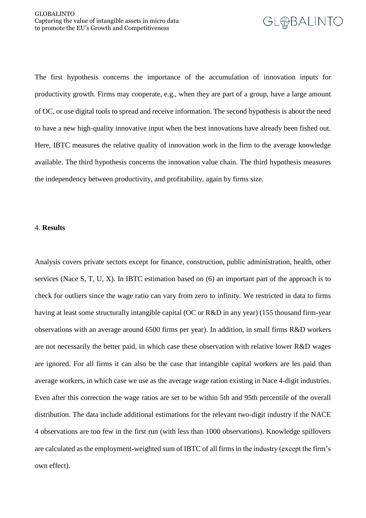

The first hypothesis concerns the importance of the accumulation of innovation inputs for productivity growth. Firms may cooperate, e.g., when they are part of a group, have a large amount of OC, or use digital tools to spread and receive information. The second hypothesis is about the need to have a new high-quality innovative input when the best innovations have already been fished out. Here, IBTC measures the relative quality of innovation work in the firm to the average knowledge available. The third hypothesis concerns the innovation value chain. The third hypothesis measures the independency between productivity, and profitability, again by firms size.

#### <span id="page-17-0"></span>4. **Results**

Analysis covers private sectors except for finance, construction, public administration, health, other services (Nace S, T, U, X). In IBTC estimation based on (6) an important part of the approach is to check for outliers since the wage ratio can vary from zero to infinity. We restricted in data to firms having at least some structurally intangible capital (OC or R&D in any year) (155 thousand firm-year observations with an average around 6500 firms per year). In addition, in small firms R&D workers are not necessarily the better paid, in which case these observation with relative lower R&D wages are ignored. For all firms it can also be the case that intangible capital workers are les paid than average workers, in which case we use as the average wage ration existing in Nace 4-digit industries. Even after this correction the wage ratios are set to be within 5th and 95th percentile of the overall distribution. The data include additional estimations for the relevant two-digit industry if the NACE 4 observations are too few in the first run (with less than 1000 observations). Knowledge spillovers are calculated as the employment-weighted sum of IBTC of all firms in the industry (except the firm's own effect).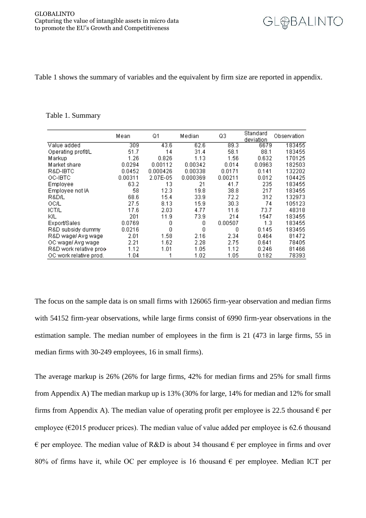

Table 1 shows the summary of variables and the equivalent by firm size are reported in appendix.

#### Table 1. Summary

|                         | Mean             | Q1       | Median   | Q3      | Standard<br>deviation | Observation |
|-------------------------|------------------|----------|----------|---------|-----------------------|-------------|
| Value added             | $\overline{309}$ | 43.6     | 62.6     | 89.3    | 6679                  | 183455      |
| Operating profit/L      | 51.7             | 14       | 31.4     | 58.1    | 88.1                  | 183455      |
| Markup                  | 1.26             | 0.826    | 1.13     | 1.56    | 0.632                 | 170125      |
| Market share            | 0.0294           | 0.00112  | 0.00342  | 0.014   | 0.0963                | 182503      |
| R&D-IBTC                | 0.0452           | 0.000426 | 0.00338  | 0.0171  | 0.141                 | 132202      |
| OC-IBTC                 | 0.00311          | 2.07E-05 | 0.000369 | 0.00211 | 0.012                 | 104425      |
| Employee                | 63.2             | 13       | 21       | 41.7    | 235                   | 183455      |
| Employee not IA         | 58               | 12.3     | 19.8     | 38.8    | 217                   | 183455      |
| R&D/L                   | 68.6             | 15.4     | 33.9     | 72.2    | 312                   | 132973      |
| OC/L                    | 27.5             | 8.13     | 15.9     | 30.3    | 74                    | 105123      |
| ICT/L                   | 17.6             | 2.03     | 4.77     | 11.6    | 73.7                  | 48318       |
| ΚL                      | 201              | 11.9     | 73.9     | 214     | 1547                  | 183455      |
| Export/Sales            | 0.0769           | 0        | 0        | 0.00507 | 1.3                   | 183455      |
| R&D subsidy dummy       | 0.0216           | 0        | 0        | 0       | 0.145                 | 183455      |
| R&D wage/ Avg wage      | 2.01             | 1.58     | 2.16     | 2.34    | 0.464                 | 81472       |
| OC wage/ Avg wage       | 2.21             | 1.62     | 2.28     | 2.75    | 0.641                 | 78405       |
| R&D work relative proo- | 1.12             | 1.01     | 1.05     | 1.12    | 0.246                 | 81466       |
| OC work relative prod.  | 1.04             |          | 1.02     | 1.05    | 0.182                 | 78393       |

The focus on the sample data is on small firms with 126065 firm-year observation and median firms with 54152 firm-year observations, while large firms consist of 6990 firm-year observations in the estimation sample. The median number of employees in the firm is 21 (473 in large firms, 55 in median firms with 30-249 employees, 16 in small firms).

The average markup is 26% (26% for large firms, 42% for median firms and 25% for small firms from Appendix A) The median markup up is 13% (30% for large, 14% for median and 12% for small firms from Appendix A). The median value of operating profit per employee is 22.5 thousand  $\epsilon$  per employee ( $\epsilon$ 2015 producer prices). The median value of value added per employee is 62.6 thousand  $\epsilon$  per employee. The median value of R&D is about 34 thousand  $\epsilon$  per employee in firms and over 80% of firms have it, while OC per employee is 16 thousand  $\epsilon$  per employee. Median ICT per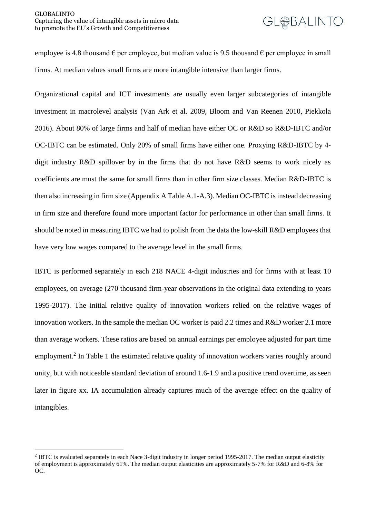employee is 4.8 thousand  $\epsilon$  per employee, but median value is 9.5 thousand  $\epsilon$  per employee in small firms. At median values small firms are more intangible intensive than larger firms.

Organizational capital and ICT investments are usually even larger subcategories of intangible investment in macrolevel analysis (Van Ark et al. 2009, Bloom and Van Reenen 2010, Piekkola 2016). About 80% of large firms and half of median have either OC or R&D so R&D-IBTC and/or OC-IBTC can be estimated. Only 20% of small firms have either one. Proxying R&D-IBTC by 4 digit industry R&D spillover by in the firms that do not have R&D seems to work nicely as coefficients are must the same for small firms than in other firm size classes. Median R&D-IBTC is then also increasing in firm size (Appendix A Table A.1-A.3). Median OC-IBTC is instead decreasing in firm size and therefore found more important factor for performance in other than small firms. It should be noted in measuring IBTC we had to polish from the data the low-skill R&D employees that have very low wages compared to the average level in the small firms.

IBTC is performed separately in each 218 NACE 4-digit industries and for firms with at least 10 employees, on average (270 thousand firm-year observations in the original data extending to years 1995-2017). The initial relative quality of innovation workers relied on the relative wages of innovation workers. In the sample the median OC worker is paid 2.2 times and R&D worker 2.1 more than average workers. These ratios are based on annual earnings per employee adjusted for part time employment.<sup>2</sup> In Table 1 the estimated relative quality of innovation workers varies roughly around unity, but with noticeable standard deviation of around 1.6-1.9 and a positive trend overtime, as seen later in figure xx. IA accumulation already captures much of the average effect on the quality of intangibles.

1

<sup>&</sup>lt;sup>2</sup> IBTC is evaluated separately in each Nace 3-digit industry in longer period 1995-2017. The median output elasticity of employment is approximately 61%. The median output elasticities are approximately 5-7% for R&D and 6-8% for OC.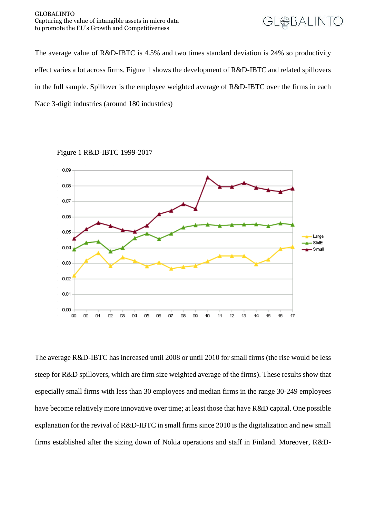#### GLOBALINTO Capturing the value of intangible assets in micro data to promote the EU's Growth and Competitiveness



The average value of R&D-IBTC is 4.5% and two times standard deviation is 24% so productivity effect varies a lot across firms. Figure 1 shows the development of R&D-IBTC and related spillovers in the full sample. Spillover is the employee weighted average of R&D-IBTC over the firms in each Nace 3-digit industries (around 180 industries)



Figure 1 R&D-IBTC 1999-2017

The average R&D-IBTC has increased until 2008 or until 2010 for small firms (the rise would be less steep for R&D spillovers, which are firm size weighted average of the firms). These results show that especially small firms with less than 30 employees and median firms in the range 30-249 employees have become relatively more innovative over time; at least those that have R&D capital. One possible explanation for the revival of R&D-IBTC in small firms since 2010 is the digitalization and new small firms established after the sizing down of Nokia operations and staff in Finland. Moreover, R&D-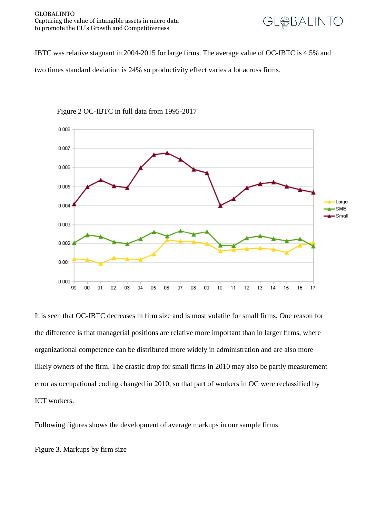

IBTC was relative stagnant in 2004-2015 for large firms. The average value of OC-IBTC is 4.5% and

two times standard deviation is 24% so productivity effect varies a lot across firms.



Figure 2 OC-IBTC in full data from 1995-2017

It is seen that OC-IBTC decreases in firm size and is most volatile for small firms. One reason for the difference is that managerial positions are relative more important than in larger firms, where organizational competence can be distributed more widely in administration and are also more likely owners of the firm. The drastic drop for small firms in 2010 may also be partly measurement error as occupational coding changed in 2010, so that part of workers in OC were reclassified by ICT workers.

Following figures shows the development of average markups in our sample firms

Figure 3. Markups by firm size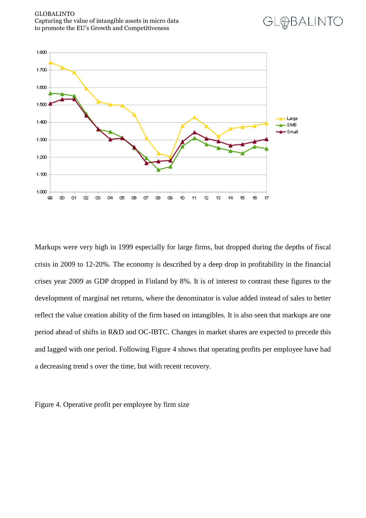



Markups were very high in 1999 especially for large firms, but dropped during the depths of fiscal crisis in 2009 to 12-20%. The economy is described by a deep drop in profitability in the financial crises year 2009 as GDP dropped in Finland by 8%. It is of interest to contrast these figures to the development of marginal net returns, where the denominator is value added instead of sales to better reflect the value creation ability of the firm based on intangibles. It is also seen that markups are one period ahead of shifts in R&D and OC-IBTC. Changes in market shares are expected to precede this and lagged with one period. Following Figure 4 shows that operating profits per employee have had a decreasing trend s over the time, but with recent recovery.

Figure 4. Operative profit per employee by firm size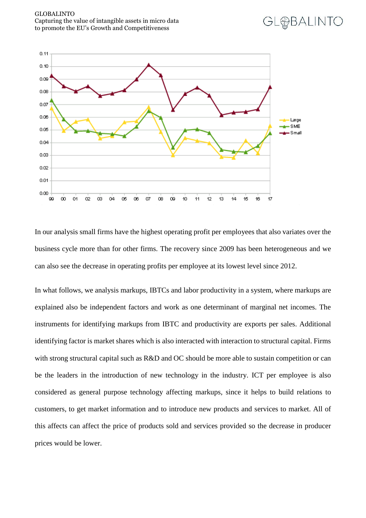



**GLHBALINTO** 

In our analysis small firms have the highest operating profit per employees that also variates over the business cycle more than for other firms. The recovery since 2009 has been heterogeneous and we can also see the decrease in operating profits per employee at its lowest level since 2012.

In what follows, we analysis markups, IBTCs and labor productivity in a system, where markups are explained also be independent factors and work as one determinant of marginal net incomes. The instruments for identifying markups from IBTC and productivity are exports per sales. Additional identifying factor is market shares which is also interacted with interaction to structural capital. Firms with strong structural capital such as R&D and OC should be more able to sustain competition or can be the leaders in the introduction of new technology in the industry. ICT per employee is also considered as general purpose technology affecting markups, since it helps to build relations to customers, to get market information and to introduce new products and services to market. All of this affects can affect the price of products sold and services provided so the decrease in producer prices would be lower.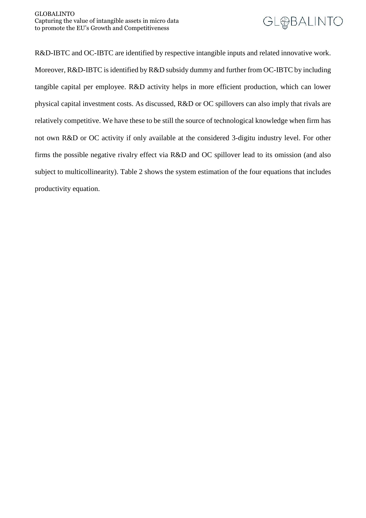

R&D-IBTC and OC-IBTC are identified by respective intangible inputs and related innovative work. Moreover, R&D-IBTC is identified by R&D subsidy dummy and further from OC-IBTC by including tangible capital per employee. R&D activity helps in more efficient production, which can lower physical capital investment costs. As discussed, R&D or OC spillovers can also imply that rivals are relatively competitive. We have these to be still the source of technological knowledge when firm has not own R&D or OC activity if only available at the considered 3-digitu industry level. For other firms the possible negative rivalry effect via R&D and OC spillover lead to its omission (and also subject to multicollinearity). Table 2 shows the system estimation of the four equations that includes productivity equation.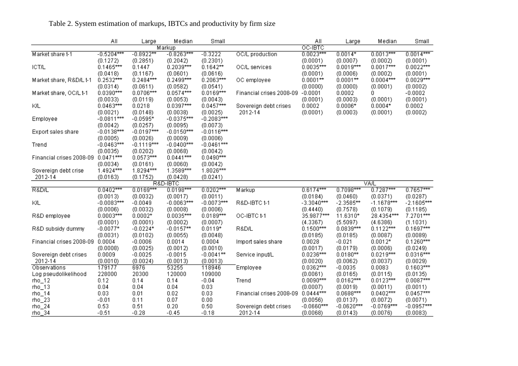|                                 | Αll          | Large        | Median       | Small        |                          | Αll          | Large        | Median       | Small        |
|---------------------------------|--------------|--------------|--------------|--------------|--------------------------|--------------|--------------|--------------|--------------|
|                                 |              |              | Markup       |              |                          | OC-IBTC      |              |              |              |
| Market share t-1                | $-0.5204***$ | $-0.8922***$ | $-0.8263***$ | $-0.3222$    | OC/L production          | $0.0023***$  | $0.0014*$    | $0.0013***$  | $0.0014***$  |
|                                 | (0.1272)     | (0.2851)     | (0.2042)     | (0.2301)     |                          | (0.0001)     | (0.0007)     | (0.0002)     | (0.0001)     |
| <b>ICT/L</b>                    | $0.1465***$  | 0.1447       | $0.2039***$  | $0.1642**$   | OC/L services            | $0.0035***$  | $0.0019***$  | $0.0017***$  | $0.0022***$  |
|                                 | (0.0418)     | (0.1167)     | (0.0601)     | (0.0616)     |                          | (0.0001)     | (0.0006)     | (0.0002)     | (0.0001)     |
| Market share, R&D/L t-1         | $0.2532***$  | $0.2484***$  | $0.2499***$  | $0.2063***$  | OC employee              | $0.0001**$   | $0.0001**$   | $0.0004***$  | $0.0029***$  |
|                                 | (0.0314)     | (0.0611)     | (0.0582)     | (0.0541)     |                          | (0.0000)     | (0.0000)     | (0.0001)     | (0.0002)     |
| Market share, OC/L t-1          | $0.0390***$  | $0.0706***$  | $0.0574***$  | $0.0169***$  | Financial crises 2008-09 | $-0.0001$    | 0.0002       | 0            | $-0.0002$    |
|                                 | (0.0033)     | (0.0119)     | (0.0053)     | (0.0043)     |                          | (0.0001)     | (0.0003)     | (0.0001)     | (0.0001)     |
| КL                              | $0.0463***$  | 0.0218       | $0.0397***$  | $0.0457***$  | Sovereign debt crises    | 0.0002       | $0.0006*$    | $0.0004*$    | 0.0002       |
|                                 | (0.0021)     | (0.0148)     | (0.0038)     | (0.0025)     | 2012-14                  | (0.0001)     | (0.0003)     | (0.0001)     | (0.0002)     |
| Employee                        | $-0.0811***$ | $-0.0595*$   | $-0.0375***$ | $-0.2083***$ |                          |              |              |              |              |
|                                 | (0.0042)     | (0.0257)     | (0.0095)     | (0.0073)     |                          |              |              |              |              |
| Export sales share              | $-0.0138***$ | $-0.0197***$ | $-0.0150***$ | $-0.0116***$ |                          |              |              |              |              |
|                                 | (0.0005)     | (0.0026)     | (0.0009)     | (0.0006)     |                          |              |              |              |              |
| Trend                           | $-0.0463***$ | $-0.1119***$ | $-0.0400***$ | $-0.0461***$ |                          |              |              |              |              |
|                                 | (0.0035)     | (0.0202)     | (0.0068)     | (0.0042)     |                          |              |              |              |              |
| Financial crises 2008-09        | $0.0471***$  | $0.0573***$  | $0.0441***$  | $0.0490***$  |                          |              |              |              |              |
|                                 | (0.0034)     | (0.0161)     | (0.0060)     | (0.0042)     |                          |              |              |              |              |
| Sovereign debt crise            | $1.4924***$  | $1.8294***$  | $1.3589***$  | $1.8026***$  |                          |              |              |              |              |
| 2012-14                         | (0.0163)     | (0.1752)     | (0.0428)     | (0.0241)     |                          |              |              |              |              |
|                                 |              |              | R&D-IBTC     |              |                          |              |              | VA/L         |              |
| R&D/L                           | $0.0402***$  | $0.0169***$  | $0.0198***$  | $0.0202***$  | Markup                   | $0.6174***$  | $0.7098***$  | $0.7287***$  | $0.7657***$  |
|                                 | (0.0013)     | (0.0032)     | (0.0017)     | (0.0011)     |                          | (0.0184)     | (0.0460)     | (0.0371)     | (0.0287)     |
| ΚL                              | $-0.0083***$ | $-0.0049$    | $-0.0063***$ | $-0.0073***$ | R&D-IBTC t-1             | $-3.3040***$ | $-2.3585***$ | $-1.1678***$ | $-2.1605***$ |
|                                 | (0.0006)     | (0.0032)     | (0.0008)     | (0.0006)     |                          | (0.4440)     | (0.7578)     | (0.1079)     | (0.1185)     |
| R&D employee                    | $0.0003***$  | $0.0002*$    | $0.0035***$  | $0.0189***$  | OC-IBTC t-1              | 35.9877***   | 11.6310*     | 28.4354***   | $7.2701***$  |
|                                 | (0.0001)     | (0.0001)     | (0.0002)     | (0.0007)     |                          | (4.3367)     | (5.5097)     | (4.6386)     | (1.1031)     |
| R&D subsidy dummy               | $-0.0077*$   | $-0.0224*$   | $-0.0157**$  | $0.0119*$    | R&D/L                    | $0.1500***$  | $0.0839***$  | $0.1122***$  | $0.1697***$  |
|                                 | (0.0031)     | (0.0102)     | (0.0055)     | (0.0048)     |                          | (0.0185)     | (0.0185)     | (0.0087)     | (0.0089)     |
| Financial crises 2008-09 0.0004 |              | $-0.0006$    | 0.0014       | 0.0004       | Import sales share       | 0.0028       | $-0.021$     | $0.0012*$    | $0.1260***$  |
|                                 | (0.0008)     | (0.0025)     | (0.0012)     | (0.0010)     |                          | (0.0017)     | (0.0179)     | (0.0006)     | (0.0249)     |
| Sovereign debt crises           | 0.0009       | $-0.0025$    | $-0.0015$    | $-0.0041**$  | Service input/L          | $0.0236***$  | $0.0180**$   | $0.0219***$  | $0.0316***$  |
| 2012-14                         | (0.0010)     | (0.0024)     | (0.0013)     | (0.0013)     |                          | (0.0020)     | (0.0062)     | (0.0037)     | (0.0029)     |
| Observations                    | 179177       | 6976         | 53255        | 118946       | Employee                 | $0.0362***$  | $-0.0035$    | 0.0083       | $0.1603***$  |
| Log pseudolikelihood            | 228000       | 20300        | 120000       | 109000       |                          | (0.0061)     | (0.0165)     | (0.0115)     | (0.0135)     |
| $rho_1$ 12                      | 0.12         | 0.14         | 0.14         | $-0.04$      | Trend                    | $0.0090***$  | $0.0162***$  | $0.0123***$  | $0.0087***$  |
| $rho_13$                        | 0.04         | 0.04         | 0.04         | 0.03         |                          | (0.0007)     | (0.0019)     | (0.0011)     | (0.0011)     |
| $rho_14$                        | 0.03         | 0.01         | 0.02         | 0.03         | Financial crises 2008-09 | $0.0444***$  | $0.0688***$  | $0.0402***$  | $0.0457***$  |
| $rho_2$                         | $-0.01$      | 0.11         | 0.07         | 0.00         |                          | (0.0056)     | (0.0137)     | (0.0072)     | (0.0071)     |
|                                 | 0.53         | 0.51         | 0.20         | 0.50         |                          | $-0.0660***$ | $-0.0620***$ | $-0.0769***$ | $-0.0957***$ |
| $rho_2$                         |              |              |              |              | Sovereign debt crises    |              |              |              |              |
| $rho_34$                        | $-0.51$      | $-0.28$      | $-0.45$      | $-0.18$      | 2012-14                  | (0.0068)     | (0.0143)     | (0.0076)     | (0.0083)     |

### Table 2. System estimation of markups, IBTCs and productivity by firm size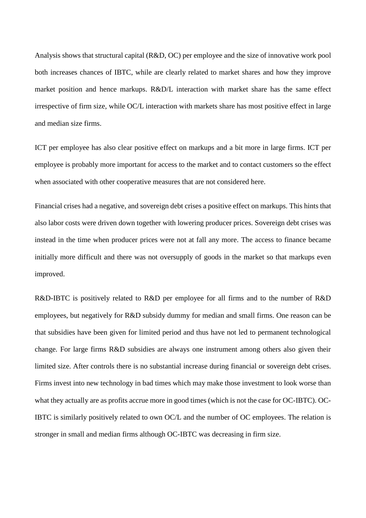Analysis shows that structural capital (R&D, OC) per employee and the size of innovative work pool both increases chances of IBTC, while are clearly related to market shares and how they improve market position and hence markups. R&D/L interaction with market share has the same effect irrespective of firm size, while OC/L interaction with markets share has most positive effect in large and median size firms.

ICT per employee has also clear positive effect on markups and a bit more in large firms. ICT per employee is probably more important for access to the market and to contact customers so the effect when associated with other cooperative measures that are not considered here.

Financial crises had a negative, and sovereign debt crises a positive effect on markups. This hints that also labor costs were driven down together with lowering producer prices. Sovereign debt crises was instead in the time when producer prices were not at fall any more. The access to finance became initially more difficult and there was not oversupply of goods in the market so that markups even improved.

R&D-IBTC is positively related to R&D per employee for all firms and to the number of R&D employees, but negatively for R&D subsidy dummy for median and small firms. One reason can be that subsidies have been given for limited period and thus have not led to permanent technological change. For large firms R&D subsidies are always one instrument among others also given their limited size. After controls there is no substantial increase during financial or sovereign debt crises. Firms invest into new technology in bad times which may make those investment to look worse than what they actually are as profits accrue more in good times (which is not the case for OC-IBTC). OC-IBTC is similarly positively related to own OC/L and the number of OC employees. The relation is stronger in small and median firms although OC-IBTC was decreasing in firm size.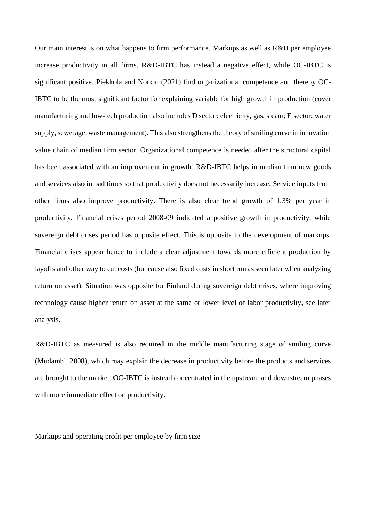Our main interest is on what happens to firm performance. Markups as well as R&D per employee increase productivity in all firms. R&D-IBTC has instead a negative effect, while OC-IBTC is significant positive. Piekkola and Norkio (2021) find organizational competence and thereby OC-IBTC to be the most significant factor for explaining variable for high growth in production (cover manufacturing and low-tech production also includes D sector: electricity, gas, steam; E sector: water supply, sewerage, waste management). This also strengthens the theory of smiling curve in innovation value chain of median firm sector. Organizational competence is needed after the structural capital has been associated with an improvement in growth. R&D-IBTC helps in median firm new goods and services also in bad times so that productivity does not necessarily increase. Service inputs from other firms also improve productivity. There is also clear trend growth of 1.3% per year in productivity. Financial crises period 2008-09 indicated a positive growth in productivity, while sovereign debt crises period has opposite effect. This is opposite to the development of markups. Financial crises appear hence to include a clear adjustment towards more efficient production by layoffs and other way to cut costs (but cause also fixed costs in short run as seen later when analyzing return on asset). Situation was opposite for Finland during sovereign debt crises, where improving technology cause higher return on asset at the same or lower level of labor productivity, see later analysis.

R&D-IBTC as measured is also required in the middle manufacturing stage of smiling curve (Mudambi, 2008), which may explain the decrease in productivity before the products and services are brought to the market. OC-IBTC is instead concentrated in the upstream and downstream phases with more immediate effect on productivity.

Markups and operating profit per employee by firm size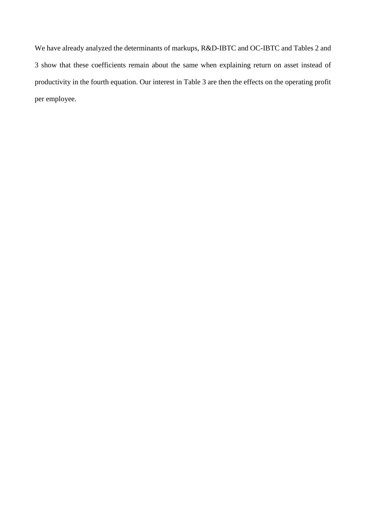We have already analyzed the determinants of markups, R&D-IBTC and OC-IBTC and Tables 2 and 3 show that these coefficients remain about the same when explaining return on asset instead of productivity in the fourth equation. Our interest in Table 3 are then the effects on the operating profit per employee.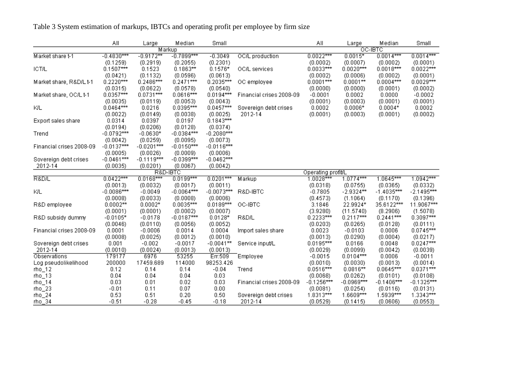|                          | ΑIΙ          | Large        | Median       | Small        |                          | All                | Large        | Median       | Small                    |
|--------------------------|--------------|--------------|--------------|--------------|--------------------------|--------------------|--------------|--------------|--------------------------|
|                          |              |              | Markup       |              |                          |                    | OC-IBTC      |              |                          |
| Market share t-1         | $-0.4830***$ | $-0.9172**$  | $-0.7899***$ | $-0.3049$    | <b>OC/L</b> production   | $0.0022***$        | $0.0015*$    | $0.0014***$  | $0.0014***$              |
|                          | (0.1259)     | (0.2919)     | (0.2055)     | (0.2301)     |                          | (0.0002)           | (0.0007)     | (0.0002)     | (0.0001)                 |
| <b>ICT/L</b>             | $0.1507***$  | 0.1523       | $0.1863**$   | $0.1576*$    | OC/L services            | $0.0033***$        | $0.0020***$  | $0.0018***$  | $0.0022***$              |
|                          | (0.0421)     | (0.1132)     | (0.0596)     | (0.0613)     |                          | (0.0002)           | (0.0006)     | (0.0002)     | (0.0001)                 |
| Market share, R&D/L t-1  | $0.2220***$  | $0.2486***$  | $0.2471***$  | $0.2035***$  | OC employee              | $0.0001***$        | $0.0001**$   | $0.0004***$  | $0.0029***$              |
|                          | (0.0315)     | (0.0622)     | (0.0578)     | (0.0540)     |                          | (0.0000)           | (0.0000)     | (0.0001)     | (0.0002)                 |
| Market share, OC/L t-1   | $0.0357***$  | $0.0731***$  | $0.0616***$  | $0.0194***$  | Financial crises 2008-09 | $-0.0001$          | 0.0002       | 0.0000       | $-0.0002$                |
|                          | (0.0035)     | (0.0119)     | (0.0053)     | (0.0043)     |                          | (0.0001)           | (0.0003)     | (0.0001)     | (0.0001)                 |
| KIL                      | $0.0464***$  | 0.0216       | $0.0395***$  | $0.0457***$  | Sovereign debt crises    | 0.0002             | $0.0006*$    | $0.0004*$    | 0.0002                   |
|                          | (0.0022)     | (0.0149)     | (0.0038)     | (0.0025)     | 2012-14                  | (0.0001)           | (0.0003)     | (0.0001)     | (0.0002)                 |
| Export sales share       | 0.0314       | 0.0397       | 0.0197       | $0.1843***$  |                          |                    |              |              |                          |
|                          | (0.0194)     | (0.0206)     | (0.0128)     | (0.0374)     |                          |                    |              |              |                          |
| Trend                    | $-0.0792***$ | $-0.0630*$   | $-0.0384***$ | $-0.2080***$ |                          |                    |              |              |                          |
|                          | (0.0042)     | (0.0259)     | (0.0095)     | (0.0073)     |                          |                    |              |              |                          |
| Financial crises 2008-09 | $-0.0137***$ | $-0.0201***$ | $-0.0150***$ | $-0.0116***$ |                          |                    |              |              |                          |
|                          | (0.0005)     | (0.0026)     | (0.0009)     | (0.0006)     |                          |                    |              |              |                          |
| Sovereign debt crises    | $-0.0461***$ | $-0.1119***$ | $-0.0399***$ | $-0.0462***$ |                          |                    |              |              |                          |
| 2012-14                  | (0.0035)     | (0.0201)     | (0.0067)     | (0.0042)     |                          |                    |              |              |                          |
|                          |              |              | R&D-IBTC     |              |                          | Operating profit/L |              |              |                          |
| R&D/L                    | $0.0422***$  | $0.0168***$  | $0.0199***$  | $0.0201***$  | Markup                   | $1.0028***$        | $1.0774***$  | $1.0645***$  | $1.0942***$              |
|                          | (0.0013)     | (0.0032)     | (0.0017)     | (0.0011)     |                          | (0.0318)           | (0.0755)     | (0.0365)     | (0.0332)                 |
| KIL                      | $-0.0086***$ | $-0.0049$    | $-0.0064***$ | $-0.0073***$ | R&D-IBTC                 | $-0.7805$          | $-2.9324**$  | $-1.4035***$ | $-2.1495***$             |
|                          | (0.0008)     | (0.0033)     | (0.0008)     | (0.0006)     |                          | (0.4573)           | (1.1064)     | (0.1170)     | (0.1396)                 |
| R&D employee             | $0.0002**$   | $0.0002*$    | $0.0035***$  | $0.0189***$  | OC-IBTC                  | 3.1846             | 22.9924*     | 35.6122***   | 11.9067***               |
|                          | (0.0001)     | (0.0001)     | (0.0002)     | (0.0007)     |                          | (3.9280)           | (11.5740)    | (8.2906)     | (1.5078)                 |
| R&D subsidy dummy        | $-0.0105*$   | $-0.0178$    | $-0.0187***$ | $0.0128*$    | R&D/L                    | $0.2233***$        | $0.2117***$  | $0.2441***$  | $0.3097***$              |
|                          | (0.0046)     | (0.0110)     | (0.0056)     | (0.0052)     |                          | (0.0203)           | (0.0265)     | (0.0128)     | (0.0111)                 |
| Financial crises 2008-09 | 0.0001       | $-0.0006$    | 0.0014       | 0.0004       | Import sales share       | 0.0023             | $-0.0103$    | 0.0006       | $0.0745***$              |
|                          | (0.0008)     | (0.0025)     | (0.0012)     | (0.0010)     |                          | (0.0013)           | (0.0290)     | (0.0004)     | (0.0217)                 |
| Sovereign debt crises    | 0.001        | $-0.002$     | $-0.0017$    | $-0.0041**$  | Service input/L          | $0.0195***$        | 0.0166       | 0.0048       | $0.0247***$              |
| 2012-14                  | (0.0010)     | (0.0024)     | (0.0013)     | (0.0013)     |                          | (0.0029)           | (0.0099)     | (0.0042)     | (0.0039)                 |
| Observations             | 179177       | 6976         | 53255        | Err:509      | Employee                 | $-0.0015$          | $0.0104***$  | 0.0006       | $-0.0011$                |
| Log pseudolikelihood     | 200000       | 17459.689    | 114000       | 98253.426    |                          | (0.0010)           | (0.0030)     | (0.0013)     | (0.0014)                 |
| $rho_1$ 12               | 0.12         | 0.14         | 0.14         | $-0.04$      | Trend                    | $0.0516***$        | $0.0816**$   | $0.0645***$  | $0.0371***$              |
|                          | 0.04         | 0.04         | 0.04         | 0.03         |                          | (0.0068)           | (0.0262)     | (0.0101)     |                          |
| $rho_13$                 | 0.03         |              |              | 0.03         | Financial crises 2008-09 | $-0.1256***$       | $-0.0969***$ | $-0.1406***$ | (0.0108)<br>$-0.1325***$ |
| $rho_1$ 14               |              | 0.01         | 0.02         | 0.00         |                          |                    |              |              |                          |
| $rho_2$ 3                | $-0.01$      | 0.11         | 0.07         |              |                          | (0.0081)           | (0.0254)     | (0.0116)     | (0.0131)                 |
| $rho_2$                  | 0.53         | 0.51         | 0.20         | 0.50         | Sovereign debt crises    | $1.8313***$        | $1.6609***$  | $1.5939***$  | $1.3343***$              |
| $rho_34$                 | $-0.51$      | $-0.28$      | $-0.45$      | $-0.18$      | 2012-14                  | (0.0529)           | (0.1415)     | (0.0606)     | (0.0553)                 |

Table 3 System estimation of markups, IBTCs and operating profit per employee by firm size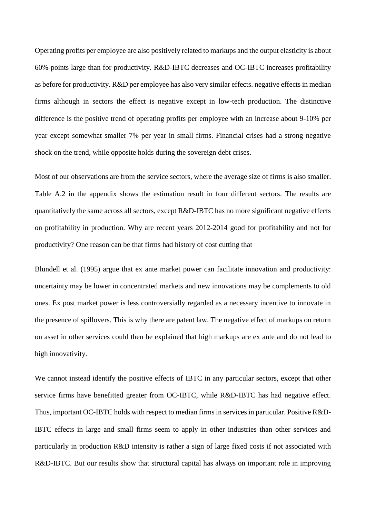Operating profits per employee are also positively related to markups and the output elasticity is about 60%-points large than for productivity. R&D-IBTC decreases and OC-IBTC increases profitability as before for productivity. R&D per employee has also very similar effects. negative effects in median firms although in sectors the effect is negative except in low-tech production. The distinctive difference is the positive trend of operating profits per employee with an increase about 9-10% per year except somewhat smaller 7% per year in small firms. Financial crises had a strong negative shock on the trend, while opposite holds during the sovereign debt crises.

Most of our observations are from the service sectors, where the average size of firms is also smaller. Table A.2 in the appendix shows the estimation result in four different sectors. The results are quantitatively the same across all sectors, except R&D-IBTC has no more significant negative effects on profitability in production. Why are recent years 2012-2014 good for profitability and not for productivity? One reason can be that firms had history of cost cutting that

Blundell et al. (1995) argue that ex ante market power can facilitate innovation and productivity: uncertainty may be lower in concentrated markets and new innovations may be complements to old ones. Ex post market power is less controversially regarded as a necessary incentive to innovate in the presence of spillovers. This is why there are patent law. The negative effect of markups on return on asset in other services could then be explained that high markups are ex ante and do not lead to high innovativity.

We cannot instead identify the positive effects of IBTC in any particular sectors, except that other service firms have benefitted greater from OC-IBTC, while R&D-IBTC has had negative effect. Thus, important OC-IBTC holds with respect to median firms in services in particular. Positive R&D-IBTC effects in large and small firms seem to apply in other industries than other services and particularly in production R&D intensity is rather a sign of large fixed costs if not associated with R&D-IBTC. But our results show that structural capital has always on important role in improving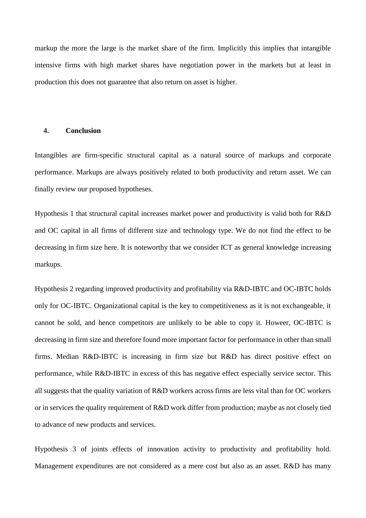markup the more the large is the market share of the firm. Implicitly this implies that intangible intensive firms with high market shares have negotiation power in the markets but at least in production this does not guarantee that also return on asset is higher.

#### <span id="page-31-0"></span>**4. Conclusion**

Intangibles are firm-specific structural capital as a natural source of markups and corporate performance. Markups are always positively related to both productivity and return asset. We can finally review our proposed hypotheses.

Hypothesis 1 that structural capital increases market power and productivity is valid both for R&D and OC capital in all firms of different size and technology type. We do not find the effect to be decreasing in firm size here. It is noteworthy that we consider ICT as general knowledge increasing markups.

Hypothesis 2 regarding improved productivity and profitability via R&D-IBTC and OC-IBTC holds only for OC-IBTC. Organizational capital is the key to competitiveness as it is not exchangeable, it cannot be sold, and hence competitors are unlikely to be able to copy it. Howeer, OC-IBTC is decreasing in firm size and therefore found more important factor for performance in other than small firms. Median R&D-IBTC is increasing in firm size but R&D has direct positive effect on performance, while R&D-IBTC in excess of this has negative effect especially service sector. This all suggests that the quality variation of R&D workers across firms are less vital than for OC workers or in services the quality requirement of R&D work differ from production; maybe as not closely tied to advance of new products and services.

Hypothesis 3 of joints effects of innovation activity to productivity and profitability hold. Management expenditures are not considered as a mere cost but also as an asset. R&D has many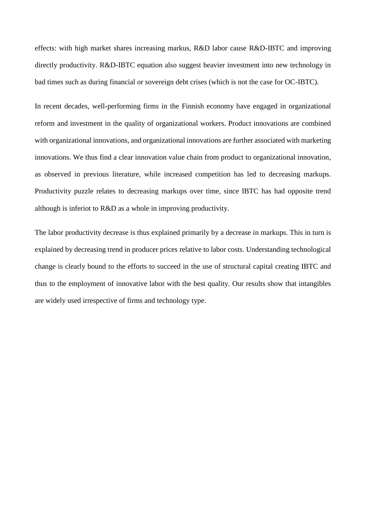effects: with high market shares increasing markus, R&D labor cause R&D-IBTC and improving directly productivity. R&D-IBTC equation also suggest heavier investment into new technology in bad times such as during financial or sovereign debt crises (which is not the case for OC-IBTC).

In recent decades, well-performing firms in the Finnish economy have engaged in organizational reform and investment in the quality of organizational workers. Product innovations are combined with organizational innovations, and organizational innovations are further associated with marketing innovations. We thus find a clear innovation value chain from product to organizational innovation, as observed in previous literature, while increased competition has led to decreasing markups. Productivity puzzle relates to decreasing markups over time, since IBTC has had opposite trend although is inferiot to R&D as a whole in improving productivity.

The labor productivity decrease is thus explained primarily by a decrease in markups. This in turn is explained by decreasing trend in producer prices relative to labor costs. Understanding technological change is clearly bound to the efforts to succeed in the use of structural capital creating IBTC and thus to the employment of innovative labor with the best quality. Our results show that intangibles are widely used irrespective of firms and technology type.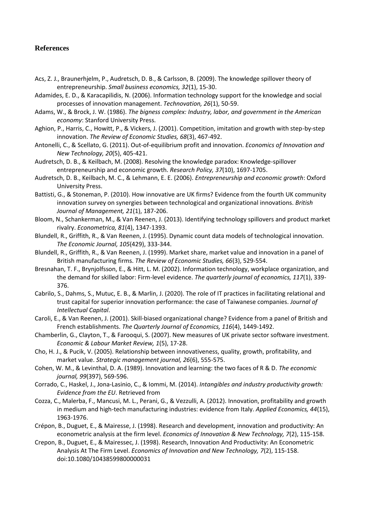#### <span id="page-33-0"></span>**References**

- Acs, Z. J., Braunerhjelm, P., Audretsch, D. B., & Carlsson, B. (2009). The knowledge spillover theory of entrepreneurship. *Small business economics, 32*(1), 15-30.
- Adamides, E. D., & Karacapilidis, N. (2006). Information technology support for the knowledge and social processes of innovation management. *Technovation, 26*(1), 50-59.
- Adams, W., & Brock, J. W. (1986). *The bigness complex: Industry, labor, and government in the American economy*: Stanford University Press.
- Aghion, P., Harris, C., Howitt, P., & Vickers, J. (2001). Competition, imitation and growth with step-by-step innovation. *The Review of Economic Studies, 68*(3), 467-492.
- Antonelli, C., & Scellato, G. (2011). Out-of-equilibrium profit and innovation. *Economics of Innovation and New Technology, 20*(5), 405-421.
- Audretsch, D. B., & Keilbach, M. (2008). Resolving the knowledge paradox: Knowledge-spillover entrepreneurship and economic growth. *Research Policy, 37*(10), 1697-1705.
- Audretsch, D. B., Keilbach, M. C., & Lehmann, E. E. (2006). *Entrepreneurship and economic growth*: Oxford University Press.
- Battisti, G., & Stoneman, P. (2010). How innovative are UK firms? Evidence from the fourth UK community innovation survey on synergies between technological and organizational innovations. *British Journal of Management, 21*(1), 187-206.
- Bloom, N., Schankerman, M., & Van Reenen, J. (2013). Identifying technology spillovers and product market rivalry. *Econometrica, 81*(4), 1347-1393.
- Blundell, R., Griffith, R., & Van Reenen, J. (1995). Dynamic count data models of technological innovation. *The Economic Journal, 105*(429), 333-344.
- Blundell, R., Griffith, R., & Van Reenen, J. (1999). Market share, market value and innovation in a panel of British manufacturing firms. *The Review of Economic Studies, 66*(3), 529-554.
- Bresnahan, T. F., Brynjolfsson, E., & Hitt, L. M. (2002). Information technology, workplace organization, and the demand for skilled labor: Firm-level evidence. *The quarterly journal of economics, 117*(1), 339- 376.
- Cabrilo, S., Dahms, S., Mutuc, E. B., & Marlin, J. (2020). The role of IT practices in facilitating relational and trust capital for superior innovation performance: the case of Taiwanese companies. *Journal of Intellectual Capital*.
- Caroli, E., & Van Reenen, J. (2001). Skill-biased organizational change? Evidence from a panel of British and French establishments. *The Quarterly Journal of Economics, 116*(4), 1449-1492.
- Chamberlin, G., Clayton, T., & Farooqui, S. (2007). New measures of UK private sector software investment. *Economic & Labour Market Review, 1*(5), 17-28.
- Cho, H. J., & Pucik, V. (2005). Relationship between innovativeness, quality, growth, profitability, and market value. *Strategic management journal, 26*(6), 555-575.
- Cohen, W. M., & Levinthal, D. A. (1989). Innovation and learning: the two faces of R & D. *The economic journal, 99*(397), 569-596.
- Corrado, C., Haskel, J., Jona-Lasinio, C., & Iommi, M. (2014). *Intangibles and industry productivity growth: Evidence from the EU*. Retrieved from
- Cozza, C., Malerba, F., Mancusi, M. L., Perani, G., & Vezzulli, A. (2012). Innovation, profitability and growth in medium and high-tech manufacturing industries: evidence from Italy. *Applied Economics, 44*(15), 1963-1976.
- Crépon, B., Duguet, E., & Mairesse, J. (1998). Research and development, innovation and productivity: An econometric analysis at the firm level. *Economics of Innovation & New Technology, 7*(2), 115-158.
- Crepon, B., Duguet, E., & Mairessec, J. (1998). Research, Innovation And Productivity: An Econometric Analysis At The Firm Level. *Economics of Innovation and New Technology, 7*(2), 115-158. doi:10.1080/10438599800000031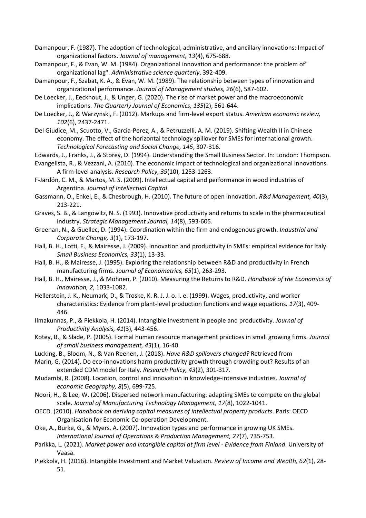Damanpour, F. (1987). The adoption of technological, administrative, and ancillary innovations: Impact of organizational factors. *Journal of management, 13*(4), 675-688.

Damanpour, F., & Evan, W. M. (1984). Organizational innovation and performance: the problem of" organizational lag". *Administrative science quarterly*, 392-409.

Damanpour, F., Szabat, K. A., & Evan, W. M. (1989). The relationship between types of innovation and organizational performance. *Journal of Management studies, 26*(6), 587-602.

De Loecker, J., Eeckhout, J., & Unger, G. (2020). The rise of market power and the macroeconomic implications. *The Quarterly Journal of Economics, 135*(2), 561-644.

De Loecker, J., & Warzynski, F. (2012). Markups and firm-level export status. *American economic review, 102*(6), 2437-2471.

Del Giudice, M., Scuotto, V., Garcia-Perez, A., & Petruzzelli, A. M. (2019). Shifting Wealth II in Chinese economy. The effect of the horizontal technology spillover for SMEs for international growth. *Technological Forecasting and Social Change, 145*, 307-316.

Edwards, J., Franks, J., & Storey, D. (1994). Understanding the Small Business Sector. In: London: Thompson.

Evangelista, R., & Vezzani, A. (2010). The economic impact of technological and organizational innovations. A firm-level analysis. *Research Policy, 39*(10), 1253-1263.

F‐Jardón, C. M., & Martos, M. S. (2009). Intellectual capital and performance in wood industries of Argentina. *Journal of Intellectual Capital*.

Gassmann, O., Enkel, E., & Chesbrough, H. (2010). The future of open innovation. *R&d Management, 40*(3), 213-221.

Graves, S. B., & Langowitz, N. S. (1993). Innovative productivity and returns to scale in the pharmaceutical industry. *Strategic Management Journal, 14*(8), 593-605.

Greenan, N., & Guellec, D. (1994). Coordination within the firm and endogenous growth. *Industrial and Corporate Change, 3*(1), 173-197.

Hall, B. H., Lotti, F., & Mairesse, J. (2009). Innovation and productivity in SMEs: empirical evidence for Italy. *Small Business Economics, 33*(1), 13-33.

Hall, B. H., & Mairesse, J. (1995). Exploring the relationship between R&D and productivity in French manufacturing firms. *Journal of Econometrics, 65*(1), 263-293.

Hall, B. H., Mairesse, J., & Mohnen, P. (2010). Measuring the Returns to R&D. *Handbook of the Economics of Innovation, 2*, 1033-1082.

Hellerstein, J. K., Neumark, D., & Troske, K. R. J. J. o. l. e. (1999). Wages, productivity, and worker characteristics: Evidence from plant-level production functions and wage equations. *17*(3), 409- 446.

Ilmakunnas, P., & Piekkola, H. (2014). Intangible investment in people and productivity. *Journal of Productivity Analysis, 41*(3), 443-456.

Kotey, B., & Slade, P. (2005). Formal human resource management practices in small growing firms. *Journal of small business management, 43*(1), 16-40.

Lucking, B., Bloom, N., & Van Reenen, J. (2018). *Have R&D spillovers changed?* Retrieved from

Marin, G. (2014). Do eco-innovations harm productivity growth through crowding out? Results of an extended CDM model for Italy. *Research Policy, 43*(2), 301-317.

Mudambi, R. (2008). Location, control and innovation in knowledge-intensive industries. *Journal of economic Geography, 8*(5), 699-725.

Noori, H., & Lee, W. (2006). Dispersed network manufacturing: adapting SMEs to compete on the global scale. *Journal of Manufacturing Technology Management, 17*(8), 1022-1041.

OECD. (2010). *Handbook on deriving capital measures of intellectual property products*. Paris: OECD Organisation for Economic Co-operation Development.

Oke, A., Burke, G., & Myers, A. (2007). Innovation types and performance in growing UK SMEs. *International Journal of Operations & Production Management, 27*(7), 735-753.

Parikka, L. (2021). *Market power and intangible capital at firm level - Evidence from Finland*. University of Vaasa.

Piekkola, H. (2016). Intangible Investment and Market Valuation. *Review of Income and Wealth, 62*(1), 28- 51.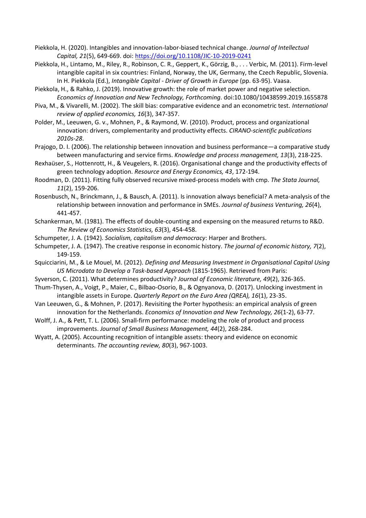- Piekkola, H. (2020). Intangibles and innovation-labor-biased technical change. *Journal of Intellectual Capital, 21*(5), 649-669. doi[: https://doi.org/10.1108/JIC-10-2019-0241](https://doi.org/10.1108/JIC-10-2019-0241)
- Piekkola, H., Lintamo, M., Riley, R., Robinson, C. R., Geppert, K., Görzig, B., . . . Verbic, M. (2011). Firm-level intangible capital in six countries: Finland, Norway, the UK, Germany, the Czech Republic, Slovenia. In H. Piekkola (Ed.), *Intangible Capital - Driver of Growth in Europe* (pp. 63-95). Vaasa.
- Piekkola, H., & Rahko, J. (2019). Innovative growth: the role of market power and negative selection. *Economics of Innovation and New Technology, Forthcoming*. doi:10.1080/10438599.2019.1655878
- Piva, M., & Vivarelli, M. (2002). The skill bias: comparative evidence and an econometric test. *International review of applied economics, 16*(3), 347-357.
- Polder, M., Leeuwen, G. v., Mohnen, P., & Raymond, W. (2010). Product, process and organizational innovation: drivers, complementarity and productivity effects. *CIRANO-scientific publications 2010s-28*.
- Prajogo, D. I. (2006). The relationship between innovation and business performance—a comparative study between manufacturing and service firms. *Knowledge and process management, 13*(3), 218-225.
- Rexhaüser, S., Hottenrott, H., & Veugelers, R. (2016). Organisational change and the productivity effects of green technology adoption. *Resource and Energy Economics, 43*, 172-194.
- Roodman, D. (2011). Fitting fully observed recursive mixed-process models with cmp. *The Stata Journal, 11*(2), 159-206.
- Rosenbusch, N., Brinckmann, J., & Bausch, A. (2011). Is innovation always beneficial? A meta-analysis of the relationship between innovation and performance in SMEs. *Journal of business Venturing, 26*(4), 441-457.
- Schankerman, M. (1981). The effects of double-counting and expensing on the measured returns to R&D. *The Review of Economics Statistics, 63*(3), 454-458.
- Schumpeter, J. A. (1942). *Socialism, capitalism and democracy*: Harper and Brothers.
- Schumpeter, J. A. (1947). The creative response in economic history. *The journal of economic history, 7*(2), 149-159.
- Squicciarini, M., & Le Mouel, M. (2012). *Defining and Measuring Investment in Organisational Capital Using US Microdata to Develop a Task-based Approach* (1815-1965). Retrieved from Paris:
- Syverson, C. (2011). What determines productivity? *Journal of Economic literature, 49*(2), 326-365.
- Thum-Thysen, A., Voigt, P., Maier, C., Bilbao-Osorio, B., & Ognyanova, D. (2017). Unlocking investment in intangible assets in Europe. *Quarterly Report on the Euro Area (QREA), 16*(1), 23-35.
- Van Leeuwen, G., & Mohnen, P. (2017). Revisiting the Porter hypothesis: an empirical analysis of green innovation for the Netherlands. *Economics of Innovation and New Technology, 26*(1-2), 63-77.
- Wolff, J. A., & Pett, T. L. (2006). Small-firm performance: modeling the role of product and process improvements. *Journal of Small Business Management, 44*(2), 268-284.
- Wyatt, A. (2005). Accounting recognition of intangible assets: theory and evidence on economic determinants. *The accounting review, 80*(3), 967-1003.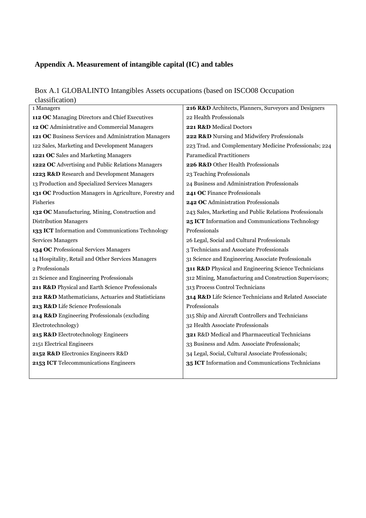#### <span id="page-36-0"></span>**Appendix A. Measurement of intangible capital (IC) and tables**

Box A.1 GLOBALINTO Intangibles Assets occupations (based on ISCO08 Occupation classification)

| URBBILIVARIOII <i>)</i>                                 |                                                         |
|---------------------------------------------------------|---------------------------------------------------------|
| 1 Managers                                              | 216 R&D Architects, Planners, Surveyors and Designers   |
| 112 OC Managing Directors and Chief Executives          | 22 Health Professionals                                 |
| 12 OC Administrative and Commercial Managers            | 221 R&D Medical Doctors                                 |
| 121 OC Business Services and Administration Managers    | 222 R&D Nursing and Midwifery Professionals             |
| 122 Sales, Marketing and Development Managers           | 223 Trad. and Complementary Medicine Professionals; 224 |
| 1221 OC Sales and Marketing Managers                    | <b>Paramedical Practitioners</b>                        |
| 1222 OC Advertising and Public Relations Managers       | 226 R&D Other Health Professionals                      |
| 1223 R&D Research and Development Managers              | 23 Teaching Professionals                               |
| 13 Production and Specialized Services Managers         | 24 Business and Administration Professionals            |
| 131 OC Production Managers in Agriculture, Forestry and | 241 OC Finance Professionals                            |
| Fisheries                                               | 242 OC Administration Professionals                     |
| 132 OC Manufacturing, Mining, Construction and          | 243 Sales, Marketing and Public Relations Professionals |
| <b>Distribution Managers</b>                            | 25 ICT Information and Communications Technology        |
| 133 ICT Information and Communications Technology       | Professionals                                           |
| <b>Services Managers</b>                                | 26 Legal, Social and Cultural Professionals             |
| 134 OC Professional Services Managers                   | 3 Technicians and Associate Professionals               |
| 14 Hospitality, Retail and Other Services Managers      | 31 Science and Engineering Associate Professionals      |
| 2 Professionals                                         | 311 R&D Physical and Engineering Science Technicians    |
| 21 Science and Engineering Professionals                | 312 Mining, Manufacturing and Construction Supervisors; |
| 211 R&D Physical and Earth Science Professionals        | 313 Process Control Technicians                         |
| 212 R&D Mathematicians, Actuaries and Statisticians     | 314 R&D Life Science Technicians and Related Associate  |
| 213 R&D Life Science Professionals                      | Professionals                                           |
| 214 R&D Engineering Professionals (excluding            | 315 Ship and Aircraft Controllers and Technicians       |
| Electrotechnology)                                      | 32 Health Associate Professionals                       |
| 215 R&D Electrotechnology Engineers                     | 321 R&D Medical and Pharmaceutical Technicians          |
| 2151 Electrical Engineers                               | 33 Business and Adm. Associate Professionals;           |
| 2152 R&D Electronics Engineers R&D                      | 34 Legal, Social, Cultural Associate Professionals;     |
| 2153 ICT Telecommunications Engineers                   | 35 ICT Information and Communications Technicians       |
|                                                         |                                                         |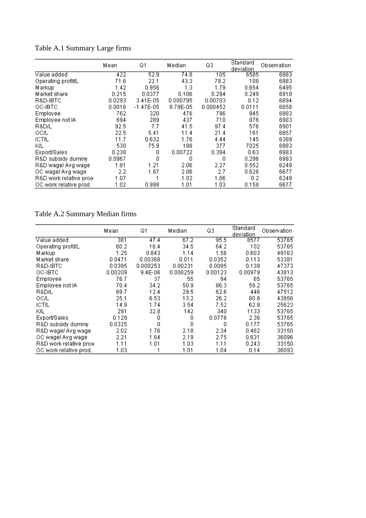|                         | Mean   | Q1           | Median   | Q3       | Standard<br>deviation | Observation |
|-------------------------|--------|--------------|----------|----------|-----------------------|-------------|
| Value added             | 422    | 52.9         | 74.8     | 105      | 6585                  | 6983        |
| Operating profit/L      | 71.6   | 22.1         | 43.3     | 78.2     | 108                   | 6983        |
| Markup                  | 1.42   | 0.956        | 1.3      | 1.79     | 0.654                 | 6495        |
| Market share            | 0.215  | 0.0377       | 0.106    | 0.294    | 0.249                 | 6918        |
| R&D-IBTC                | 0.0293 | $3.41E - 05$ | 0.000795 | 0.00703  | 0.12                  | 6894        |
| OC-IBTC                 | 0.0016 | $-1.47E-05$  | 8.79E-05 | 0.000452 | 0.0111                | 6858        |
| Employee                | 762    | 320          | 476      | 796      | 945                   | 6983        |
| Employee not IA         | 694    | 289          | 437      | 710      | 876                   | 6983        |
| R&D/L                   | 92.5   | 7.7          | 41.5     | 97.4     | 576                   | 6901        |
| OC/L                    | 22.5   | 5.41         | 11.4     | 21.4     | 161                   | 6857        |
| <b>ICT/L</b>            | 11.7   | 0.632        | 1.76     | 4.44     | 145                   | 6389        |
| ΚL                      | 530    | 75.9         | 188      | 377      | 7025                  | 6983        |
| Export/Sales            | 0.238  | 0            | 0.00722  | 0.394    | 0.63                  | 6983        |
| R&D subsidy dummy       | 0.0967 | 0            | 0        | 0        | 0.296                 | 6983        |
| R&D wage/ Avg wage      | 1.81   | 1.21         | 2.06     | 2.27     | 0.552                 | 6249        |
| OC wage/ Avg wage       | 2.2    | 1.67         | 2.06     | 2.7      | 0.626                 | 6677        |
| R&D work relative proo- | 1.07   |              | 1.02     | 1.06     | 0.2                   | 6249        |
| OC work relative prod.  | 1.02   | 0.998        | 1.01     | 1.03     | 0.158                 | 6677        |

Table A.1 Summary Large firms

## Table A.2 Summary Median firms

|                         | Mean    | Q1          | Median   | Q3      | Standard<br>deviation | Observation |
|-------------------------|---------|-------------|----------|---------|-----------------------|-------------|
| Value added             | 381     | 47.4        | 67.2     | 95.5    | 8577                  | 53765       |
| Operating profit/L      | 60.2    | 16.4        | 34.5     | 64.2    | 102                   | 53765       |
| Markup                  | 1.25    | 0.843       | 1.14     | 1.56    | 0.603                 | 49163       |
| Market share            | 0.0471  | 0.00368     | 0.011    | 0.0352  | 0.113                 | 53381       |
| R&D-IBTC                | 0.0395  | 0.000253    | 0.00231  | 0.0095  | 0.139                 | 47373       |
| OC-IBTC                 | 0.00209 | $9.4E - 06$ | 0.000259 | 0.00123 | 0.00979               | 43813       |
| Employee                | 76.7    | 37          | 55       | 94      | 65                    | 53765       |
| Employee not IA         | 70.4    | 34.2        | 50.9     | 86.3    | 59.2                  | 53765       |
| R&D/L                   | 69.7    | 12.4        | 29.5     | 62.6    | 446                   | 47512       |
| OC/L                    | 25.1    | 6.53        | 13.2     | 26.2    | 80.8                  | 43956       |
| ICT/L                   | 14.9    | 1.74        | 3.54     | 7.52    | 62.9                  | 25623       |
| ΚL                      | 291     | 32.8        | 142      | 340     | 1133                  | 53765       |
| Export/Sales            | 0.129   | 0           | 0        | 0.0776  | 2.36                  | 53765       |
| R&D subsidy dummy       | 0.0325  | Ω           | Ω        | Ο       | 0.177                 | 53765       |
| R&D wage/ Avg wage      | 2.02    | 1.76        | 2.18     | 2.34    | 0.462                 | 33150       |
| OC wage/ Avg wage       | 2.21    | 1.64        | 2.19     | 2.75    | 0.631                 | 36096       |
| R&D work relative proo- | 1.11    | 1.01        | 1.03     | 1.11    | 0.243                 | 33150       |
| OC work relative prod.  | 1.03    |             | 1.01     | 1.04    | 0.14                  | 36093       |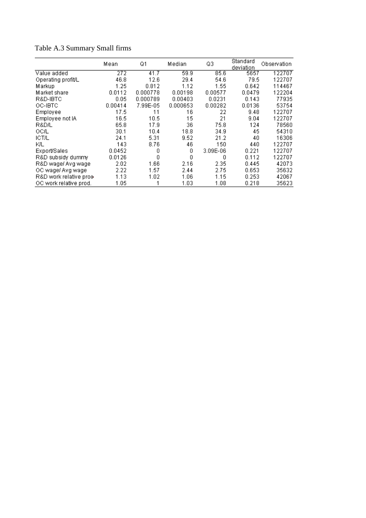|                         | Mean    | Q1       | Median   | Q3         | Standard<br>deviation | Observation |
|-------------------------|---------|----------|----------|------------|-----------------------|-------------|
| Value added             | 272     | 41.7     | 59.9     | 85.6       | 5657                  | 122707      |
| Operating profit/L      | 46.8    | 12.6     | 29.4     | 54.6       | 79.5                  | 122707      |
| Markup                  | 1.25    | 0.812    | 1.12     | 1.55       | 0.642                 | 114467      |
| Market share            | 0.0112  | 0.000778 | 0.00198  | 0.00577    | 0.0479                | 122204      |
| R&D-IBTC                | 0.05    | 0.000789 | 0.00403  | 0.0231     | 0.143                 | 77935       |
| OC-IBTC                 | 0.00414 | 7.99E-05 | 0.000653 | 0.00282    | 0.0136                | 53754       |
| Employee                | 17.5    | 11       | 16       | 22         | 9.48                  | 122707      |
| Employee not IA         | 16.5    | 10.5     | 15       | 21         | 9.04                  | 122707      |
| R&D/L                   | 65.8    | 17.9     | 36       | 75.8       | 124                   | 78560       |
| OC/L                    | 30.1    | 10.4     | 18.8     | 34.9       | 45                    | 54310       |
| <b>ICT/L</b>            | 24.1    | 5.31     | 9.52     | 21.2       | 40                    | 16306       |
| КL                      | 143     | 8.76     | 46       | 150        | 440                   | 122707      |
| Export/Sales            | 0.0452  | 0        | 0        | $3.09E-06$ | 0.221                 | 122707      |
| R&D subsidy dummy       | 0.0126  | 0        | 0        | 0          | 0.112                 | 122707      |
| R&D wage/ Avg wage      | 2.02    | 1.66     | 2.16     | 2.35       | 0.445                 | 42073       |
| OC wage/ Avg wage       | 2.22    | 1.57     | 2.44     | 2.75       | 0.653                 | 35632       |
| R&D work relative proo- | 1.13    | 1.02     | 1.06     | 1.15       | 0.253                 | 42067       |
| OC work relative prod.  | 1.05    |          | 1.03     | 1.08       | 0.218                 | 35623       |

Table A.3 Summary Small firms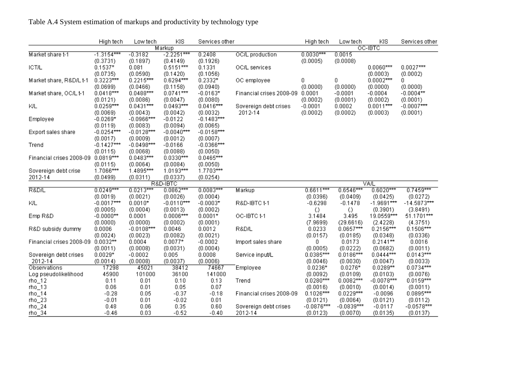### Table A.4 System estimation of markups and productivity by technology type

|                                    | High tech    | Low tech     | KIS          | Services other |                          | High tech    | Low tech     | KIS          | Services other |
|------------------------------------|--------------|--------------|--------------|----------------|--------------------------|--------------|--------------|--------------|----------------|
|                                    |              |              | Markup       |                |                          |              |              | OC-IBTC      |                |
| Market share t-1                   | $-1.3154***$ | $-0.3182$    | $-2.2251***$ | 0.2408         | OC/L production          | $0.0030***$  | 0.0015       |              |                |
|                                    | (0.3731)     | (0.1897)     | (0.4149)     | (0.1926)       |                          | (0.0005)     | (0.0008)     |              |                |
| <b>ICT/L</b>                       | $0.1537*$    | 0.081        | $0.5151***$  | 0.1331         | OC/L services            |              |              | $0.0060***$  | $0.0027***$    |
|                                    | (0.0735)     | (0.0590)     | (0.1420)     | (0.1056)       |                          |              |              | (0.0003)     | (0.0002)       |
| Market share, R&D/L t-1            | $0.3223***$  | $0.2215***$  | $0.6294***$  | $0.2332*$      | OC employee              | 0            | 0            | $0.0002***$  | 0.             |
|                                    | (0.0699)     | (0.0466)     | (0.1158)     | (0.0940)       |                          | (0.0000)     | (0.0000)     | (0.0000)     | (0.0000)       |
| Market share, OC/L t-1             | $0.0418***$  | $0.0488***$  | $0.0741***$  | $-0.0163*$     | Financial crises 2008-09 | 0.0001       | $-0.0001$    | $-0.0004$    | $-0.0004**$    |
|                                    | (0.0121)     | (0.0086)     | (0.0047)     | (0.0080)       |                          | (0.0002)     | (0.0001)     | (0.0002)     | (0.0001)       |
| KIL                                | $0.0259***$  | $0.0431***$  | $0.0493***$  | $0.0416***$    | Sovereign debt crises    | $-0.0001$    | 0.0002       | $0.0011***$  | $-0.0007***$   |
|                                    | (0.0069)     | (0.0043)     | (0.0042)     | (0.0032)       | 2012-14                  | (0.0002)     | (0.0002)     | (0.0003)     | (0.0001)       |
| Employee                           | $-0.0269*$   | $-0.0966***$ | $-0.0122$    | $-0.1483***$   |                          |              |              |              |                |
|                                    | (0.0119)     | (0.0083)     | (0.0094)     | (0.0065)       |                          |              |              |              |                |
| Export sales share                 | $-0.0254***$ | $-0.0128***$ | $-0.0040***$ | $-0.0158***$   |                          |              |              |              |                |
|                                    | (0.0017)     | (0.0009)     | (0.0012)     | (0.0007)       |                          |              |              |              |                |
| Trend                              | $-0.1427***$ | $-0.0498***$ | $-0.0166$    | $-0.0366***$   |                          |              |              |              |                |
|                                    | (0.0115)     | (0.0068)     | (0.0088)     | (0.0050)       |                          |              |              |              |                |
| Financial crises 2008-09 0.0819*** |              | $0.0483***$  | $0.0330***$  | $0.0465***$    |                          |              |              |              |                |
|                                    | (0.0115)     | (0.0064)     | (0.0084)     | (0.0050)       |                          |              |              |              |                |
| Sovereign debt crise               | 1.7066***    | $1.4895***$  | $1.0193***$  | $1.7703***$    |                          |              |              |              |                |
| 2012-14                            | (0.0499)     | (0.0311)     | (0.0337)     | (0.0254)       |                          |              |              |              |                |
|                                    |              |              | R&D-IBTC     |                |                          |              |              | VA/L         |                |
| R&D/L                              | $0.0249***$  | $0.0213***$  | $0.0862***$  | $0.0083***$    | Markup                   | $0.6611***$  | $0.6546***$  | $0.6020***$  | $0.7459***$    |
|                                    | (0.0019)     | (0.0021)     | (0.0026)     | (0.0004)       |                          | (0.0396)     | (0.0409)     | (0.0425)     | (0.0272)       |
| КL                                 | $-0.0017***$ | $0.0010*$    | $-0.0110***$ | $-0.0003*$     | R&D-IBTC t-1             | $-0.6298$    | $-0.1478$    | $-1.9691***$ | $-14.5873***$  |
|                                    | (0.0005)     | (0.0004)     | (0.0013)     | (0.0002)       |                          | O.           | O            | (0.3901)     | (3.8491)       |
| Emp R&D                            | $-0.0000**$  | 0.0001       | $0.0006***$  | $0.0001*$      | OC-IBTC t-1              | 3.1484       | 3.495        | 19.0559***   | 51.1701***     |
|                                    | (0.0000)     | (0.0000)     | (0.0002)     | (0.0001)       |                          | (7.9699)     | (29.6616)    | (2.4228)     | (4.3751)       |
| R&D subsidy dummy                  | 0.0006       | $-0.0108***$ | 0.0046       | 0.0012         | R&D/L                    | 0.0233       | $0.0657***$  | $0.2156***$  | $0.1506***$    |
|                                    | (0.0024)     | (0.0023)     | (0.0082)     | (0.0021)       |                          | (0.0157)     | (0.0185)     | (0.0348)     | (0.0336)       |
| Financial crises 2008-09 0.0032**  |              | 0.0004       | $0.0077*$    | $-0.0002$      | Import sales share       | 0.           | 0.0173       | $0.2141**$   | 0.0016         |
|                                    | (0.0011)     | (0.0008)     | (0.0031)     | (0.0004)       |                          | (0.0005)     | (0.0222)     | (0.0682)     | (0.0011)       |
| Sovereign debt crises              | $0.0029*$    | $-0.0002$    | 0.005        | 0.0008         | Service input/L          | $0.0385***$  | $0.0186***$  | $0.0444***$  | $0.0143***$    |
| 2012-14                            | (0.0014)     | (0.0008)     | (0.0037)     | (0.0006)       |                          | (0.0046)     | (0.0030)     | (0.0047)     | (0.0033)       |
| Observations                       | 17298        | 45021        | 38412        | 74667          | Employee                 | $0.0236*$    | $0.0276*$    | $0.0289**$   | $0.0734***$    |
| Log pseudolikelihood               | 45900        | 101000       | 36100        | 141000         |                          | (0.0092)     | (0.0109)     | (0.0103)     | (0.0076)       |
| $rho_1$ 12                         | 0.11         | 0.01         | 0.10         | 0.13           | Trend                    | $0.0280***$  | $0.0082***$  | $-0.0078***$ | $0.0159***$    |
| $rho_13$                           | 0.06         | 0.01         | 0.05         | 0.07           |                          | (0.0016)     | (0.0010)     | (0.0014)     | (0.0011)       |
| $rho_14$                           | $-0.28$      | 0.05         | $-0.37$      | $-0.18$        | Financial crises 2008-09 | $0.1026***$  | $0.0229***$  | $-0.0096$    | $0.0895***$    |
| $rho_2$                            | $-0.01$      | 0.01         | $-0.02$      | 0.01           |                          | (0.0121)     | (0.0064)     | (0.0121)     | (0.0112)       |
| $rho_2$                            | 0.48         | 0.06         | 0.35         | 0.60           | Sovereign debt crises    | $-0.0876***$ | $-0.0839***$ | $-0.0117$    | $-0.0578***$   |
| $rho_34$                           | $-0.46$      | 0.03         | $-0.52$      | $-0.40$        | 2012-14                  | (0.0123)     | (0.0070)     | (0.0135)     | (0.0137)       |